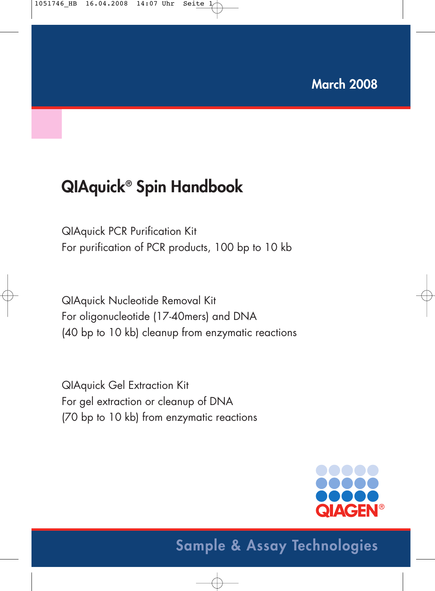# **QIAquick® Spin Handbook**

QIAquick PCR Purification Kit For purification of PCR products, 100 bp to 10 kb

QIAquick Nucleotide Removal Kit For oligonucleotide (17-40mers) and DNA (40 bp to 10 kb) cleanup from enzymatic reactions

QIAquick Gel Extraction Kit For gel extraction or cleanup of DNA (70 bp to 10 kb) from enzymatic reactions

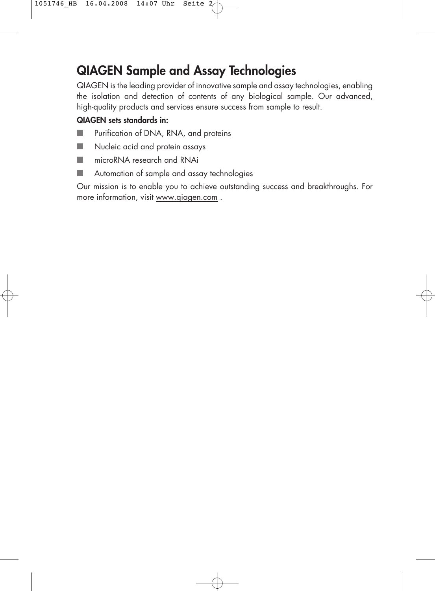# **QIAGEN Sample and Assay Technologies**

QIAGEN is the leading provider of innovative sample and assay technologies, enabling the isolation and detection of contents of any biological sample. Our advanced, high-quality products and services ensure success from sample to result.

### **QIAGEN sets standards in:**

- Purification of DNA, RNA, and proteins
- Nucleic acid and protein assays
- microRNA research and RNAi
- Automation of sample and assay technologies

Our mission is to enable you to achieve outstanding success and breakthroughs. For more information, visit www.qiagen.com .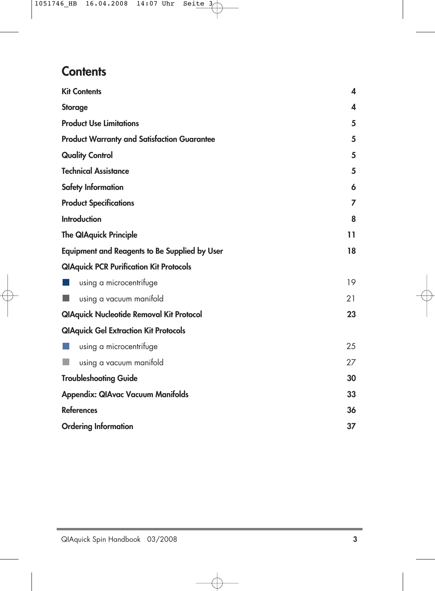## **Contents**

| <b>Kit Contents</b>                                  | 4  |
|------------------------------------------------------|----|
| <b>Storage</b>                                       | 4  |
| <b>Product Use Limitations</b>                       | 5  |
| <b>Product Warranty and Satisfaction Guarantee</b>   | 5  |
| <b>Quality Control</b>                               | 5  |
| <b>Technical Assistance</b>                          | 5  |
| Safety Information                                   | 6  |
| <b>Product Specifications</b>                        | 7  |
| <b>Introduction</b>                                  | 8  |
| <b>The QIAquick Principle</b>                        | 11 |
| <b>Equipment and Reagents to Be Supplied by User</b> | 18 |
| <b>QIAquick PCR Purification Kit Protocols</b>       |    |
| using a microcentrifuge                              | 19 |
| using a vacuum manifold                              | 21 |
| <b>QIAquick Nucleotide Removal Kit Protocol</b>      | 23 |
| <b>QIAquick Gel Extraction Kit Protocols</b>         |    |
| using a microcentrifuge                              | 25 |
| using a vacuum manifold                              | 27 |
| <b>Troubleshooting Guide</b>                         | 30 |
| <b>Appendix: QIAvac Vacuum Manifolds</b>             | 33 |
| <b>References</b>                                    | 36 |
| <b>Ordering Information</b>                          | 37 |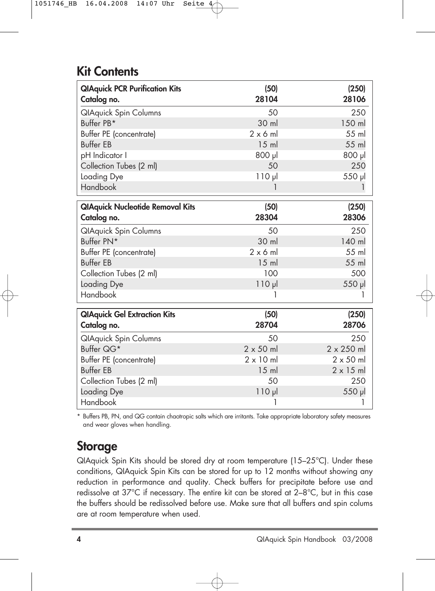# **Kit Contents**

| <b>QIAquick PCR Purification Kits</b><br>Catalog no. | (50)<br>28104    | (250)<br>28106    |
|------------------------------------------------------|------------------|-------------------|
| <b>QIAquick Spin Columns</b>                         | 50               | 250               |
| Buffer PB*                                           | 30 ml            | 150 ml            |
| Buffer PE (concentrate)                              | $2 \times 6$ m   | 55 ml             |
| <b>Buffer FB</b>                                     | $15$ m           | 55 ml             |
| pH Indicator I                                       | 800 µl           | lu <sub>008</sub> |
| Collection Tubes (2 ml)                              | 50               | 250               |
| Loading Dye                                          | $110 \mu$        | 550 µl            |
| Handbook                                             | 1                |                   |
| <b>QIAquick Nucleotide Removal Kits</b>              | (50)             | (250)             |
| Catalog no.                                          | 28304            | 28306             |
| <b>QIAquick Spin Columns</b>                         | 50               | 250               |
| Buffer PN*                                           | 30 ml            | 140 ml            |
| Buffer PE (concentrate)                              | $2 \times 6$ m   | 55 ml             |
| <b>Buffer EB</b>                                     | $15$ ml          | 55 ml             |
| Collection Tubes (2 ml)                              | 100              | 500               |
| Loading Dye                                          | $110 \mu$        | 550 µl            |
| Handbook                                             |                  |                   |
| <b>QIAquick Gel Extraction Kits</b>                  | (50)             | (250)             |
| Catalog no.                                          | 28704            | 28706             |
| <b>QlAquick Spin Columns</b>                         | 50               | 250               |
| Buffer QG*                                           | $2 \times 50$ ml | 2 x 250 ml        |
| Buffer PE (concentrate)                              | $2 \times 10$ ml | $2 \times 50$ ml  |
| <b>Buffer EB</b>                                     | $15$ ml          | $2 \times 15$ ml  |
| Collection Tubes (2 ml)                              | 50               | 250               |
| Loading Dye                                          | $110 \mu$        | 550 µl            |
| Handbook                                             | 1                | 1                 |

\* Buffers PB, PN, and QG contain chaotropic salts which are irritants. Take appropriate laboratory safety measures and wear gloves when handling.

### **Storage**

QIAquick Spin Kits should be stored dry at room temperature (15–25°C). Under these conditions, QIAquick Spin Kits can be stored for up to 12 months without showing any reduction in performance and quality. Check buffers for precipitate before use and redissolve at 37°C if necessary. The entire kit can be stored at 2–8°C, but in this case the buffers should be redissolved before use. Make sure that all buffers and spin colums are at room temperature when used.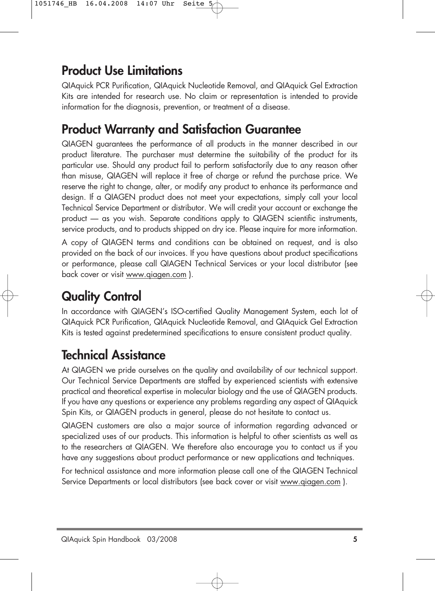# **Product Use Limitations**

QIAquick PCR Purification, QIAquick Nucleotide Removal, and QIAquick Gel Extraction Kits are intended for research use. No claim or representation is intended to provide information for the diagnosis, prevention, or treatment of a disease.

# **Product Warranty and Satisfaction Guarantee**

QIAGEN guarantees the performance of all products in the manner described in our product literature. The purchaser must determine the suitability of the product for its particular use. Should any product fail to perform satisfactorily due to any reason other than misuse, QIAGEN will replace it free of charge or refund the purchase price. We reserve the right to change, alter, or modify any product to enhance its performance and design. If a QIAGEN product does not meet your expectations, simply call your local Technical Service Department or distributor. We will credit your account or exchange the product — as you wish. Separate conditions apply to QIAGEN scientific instruments, service products, and to products shipped on dry ice. Please inquire for more information.

A copy of QIAGEN terms and conditions can be obtained on request, and is also provided on the back of our invoices. If you have questions about product specifications or performance, please call QIAGEN Technical Services or your local distributor (see back cover or visit www.qiagen.com ).

# **Quality Control**

In accordance with QIAGEN's ISO-certified Quality Management System, each lot of QIAquick PCR Purification, QIAquick Nucleotide Removal, and QIAquick Gel Extraction Kits is tested against predetermined specifications to ensure consistent product quality.

# **Technical Assistance**

At QIAGEN we pride ourselves on the quality and availability of our technical support. Our Technical Service Departments are staffed by experienced scientists with extensive practical and theoretical expertise in molecular biology and the use of QIAGEN products. If you have any questions or experience any problems regarding any aspect of QIAquick Spin Kits, or QIAGEN products in general, please do not hesitate to contact us.

QIAGEN customers are also a major source of information regarding advanced or specialized uses of our products. This information is helpful to other scientists as well as to the researchers at QIAGEN. We therefore also encourage you to contact us if you have any suggestions about product performance or new applications and techniques.

For technical assistance and more information please call one of the QIAGEN Technical Service Departments or local distributors (see back cover or visit www.qiagen.com ).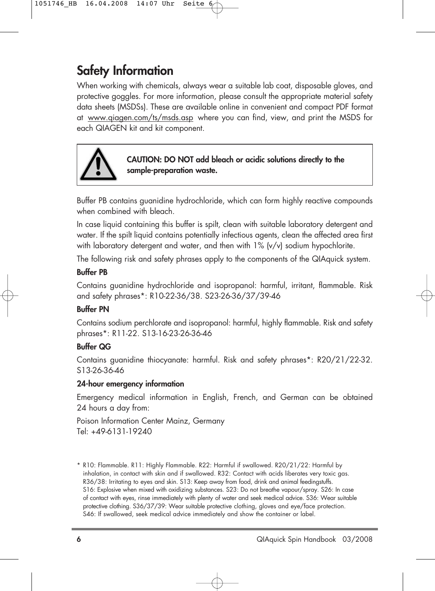# **Safety Information**

When working with chemicals, always wear a suitable lab coat, disposable gloves, and protective goggles. For more information, please consult the appropriate material safety data sheets (MSDSs). These are available online in convenient and compact PDF format at www.qiagen.com/ts/msds.asp where you can find, view, and print the MSDS for each QIAGEN kit and kit component.



**CAUTION: DO NOT add bleach or acidic solutions directly to the sample-preparation waste.**

Buffer PB contains guanidine hydrochloride, which can form highly reactive compounds when combined with bleach.

In case liquid containing this buffer is spilt, clean with suitable laboratory detergent and water. If the spilt liquid contains potentially infectious agents, clean the affected area first with laboratory detergent and water, and then with 1% (v/v) sodium hypochlorite.

The following risk and safety phrases apply to the components of the QIAquick system.

### **Buffer PB**

Contains guanidine hydrochloride and isopropanol: harmful, irritant, flammable. Risk and safety phrases\*: R10-22-36/38. S23-26-36/37/39-46

### **Buffer PN**

Contains sodium perchlorate and isopropanol: harmful, highly flammable. Risk and safety phrases\*: R11-22. S13-16-23-26-36-46

### **Buffer QG**

Contains guanidine thiocyanate: harmful. Risk and safety phrases\*: R20/21/22-32. S13-26-36-46

### **24-hour emergency information**

Emergency medical information in English, French, and German can be obtained 24 hours a day from:

Poison Information Center Mainz, Germany Tel: +49-6131-19240

\* R10: Flammable. R11: Highly Flammable. R22: Harmful if swallowed. R20/21/22: Harmful by inhalation, in contact with skin and if swallowed. R32: Contact with acids liberates very toxic gas. R36/38: Irritating to eyes and skin. S13: Keep away from food, drink and animal feedingstuffs. S16: Explosive when mixed with oxidizing substances. S23: Do not breathe vapour/spray. S26: In case of contact with eyes, rinse immediately with plenty of water and seek medical advice. S36: Wear suitable protective clothing. S36/37/39: Wear suitable protective clothing, gloves and eye/face protection. S46: If swallowed, seek medical advice immediately and show the container or label.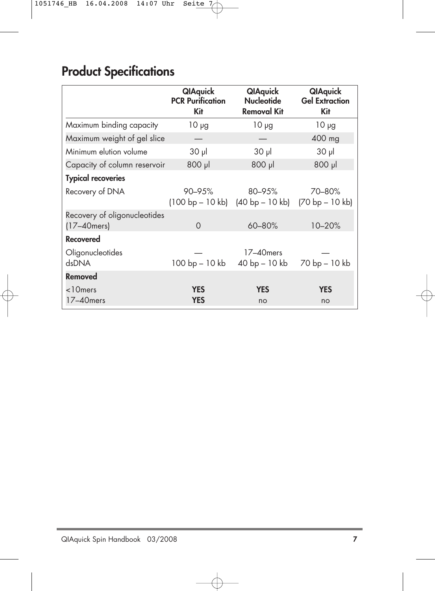# **Product Specifications**

|                                                  | <b>QIAquick</b><br><b>PCR Purification</b><br>Kit | <b>QIAquick</b><br><b>Nucleotide</b><br><b>Removal Kit</b> | <b>QIAquick</b><br><b>Gel Extraction</b><br>Kit |
|--------------------------------------------------|---------------------------------------------------|------------------------------------------------------------|-------------------------------------------------|
| Maximum binding capacity                         | $10 \mu g$                                        | $10 \mu g$                                                 | $10 \mu g$                                      |
| Maximum weight of gel slice                      |                                                   |                                                            | 400 mg                                          |
| Minimum elution volume                           | $30$ $\mu$                                        | $30$ $\mu$                                                 | $30$ $\mu$                                      |
| Capacity of column reservoir                     | $800$ pl                                          | 800 µl                                                     | 800 µl                                          |
| <b>Typical recoveries</b>                        |                                                   |                                                            |                                                 |
| Recovery of DNA                                  | 90–95%<br>$(100 bp - 10 kb)$ $(40 bp - 10 kb)$    | 80–95%                                                     | 70-80%<br>$(70 bp - 10 kb)$                     |
| Recovery of oligonucleotides<br>$(17 - 40$ mers) | $\Omega$                                          | 60-80%                                                     | 10-20%                                          |
| <b>Recovered</b>                                 |                                                   |                                                            |                                                 |
| Oligonucleotides<br><b>ARONA</b>                 | 100 bp - 10 kb                                    | 17-40 mers<br>40 bp - 10 kb                                | 70 bp - 10 kb                                   |
| Removed                                          |                                                   |                                                            |                                                 |
| <10mers<br>17-40 mers                            | <b>YES</b><br><b>YES</b>                          | <b>YES</b><br>no                                           | <b>YES</b><br>no                                |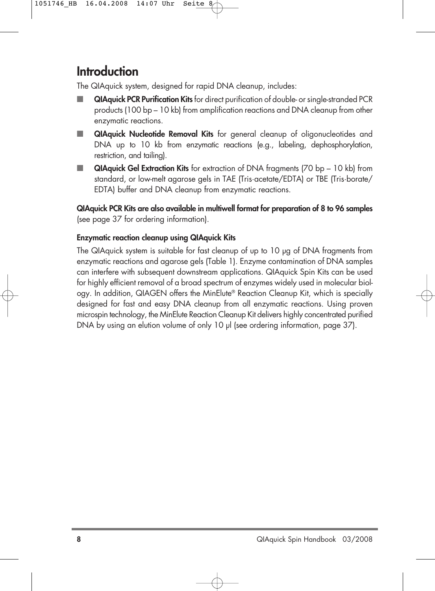# **Introduction**

The QIAquick system, designed for rapid DNA cleanup, includes:

- **QIAquick PCR Purification Kits** for direct purification of double- or single-stranded PCR products (100 bp – 10 kb) from amplification reactions and DNA cleanup from other enzymatic reactions.
- **QIAquick Nucleotide Removal Kits** for general cleanup of oligonucleotides and DNA up to 10 kb from enzymatic reactions (e.g., labeling, dephosphorylation, restriction, and tailing).
- **QIAquick Gel Extraction Kits** for extraction of DNA fragments (70 bp 10 kb) from standard, or low-melt agarose gels in TAE (Tris·acetate/EDTA) or TBE (Tris·borate/ EDTA) buffer and DNA cleanup from enzymatic reactions.

**QIAquick PCR Kits are also available in multiwell format for preparation of 8 to 96 samples** (see page 37 for ordering information).

### **Enzymatic reaction cleanup using QIAquick Kits**

The QIAquick system is suitable for fast cleanup of up to 10 µg of DNA fragments from enzymatic reactions and agarose gels (Table 1). Enzyme contamination of DNA samples can interfere with subsequent downstream applications. QIAquick Spin Kits can be used for highly efficient removal of a broad spectrum of enzymes widely used in molecular biology. In addition, QIAGEN offers the MinElute® Reaction Cleanup Kit, which is specially designed for fast and easy DNA cleanup from all enzymatic reactions. Using proven microspin technology, the MinElute Reaction Cleanup Kit delivers highly concentrated purified DNA by using an elution volume of only 10 µl (see ordering information, page 37).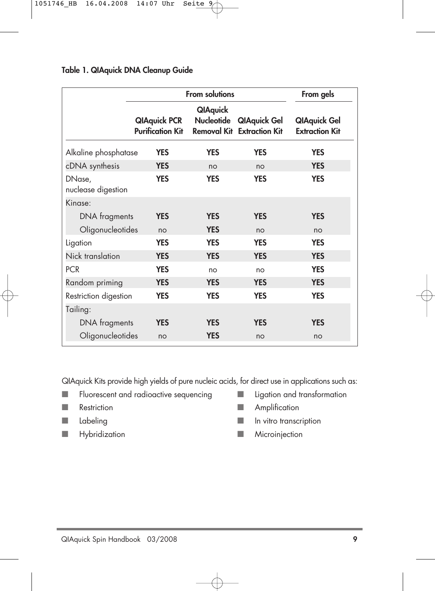### **Table 1. QIAquick DNA Cleanup Guide**

|                              | From solutions                                                            |                                      |                     | From gels                                    |
|------------------------------|---------------------------------------------------------------------------|--------------------------------------|---------------------|----------------------------------------------|
|                              | <b>QIAquick PCR</b><br><b>Purification Kit</b> Removal Kit Extraction Kit | <b>QIAquick</b><br><b>Nucleotide</b> | <b>QIAquick Gel</b> | <b>QIAquick Gel</b><br><b>Extraction Kit</b> |
| Alkaline phosphatase         | <b>YES</b>                                                                | <b>YES</b>                           | <b>YES</b>          | <b>YES</b>                                   |
| cDNA synthesis               | <b>YES</b>                                                                | no                                   | no                  | <b>YES</b>                                   |
| DNase,<br>nuclease digestion | <b>YES</b>                                                                | <b>YES</b>                           | <b>YES</b>          | <b>YES</b>                                   |
| Kinase:                      |                                                                           |                                      |                     |                                              |
| DNA fragments                | <b>YES</b>                                                                | <b>YES</b>                           | <b>YES</b>          | <b>YES</b>                                   |
| Oligonucleotides             | no                                                                        | <b>YES</b>                           | no                  | no                                           |
| Ligation                     | <b>YES</b>                                                                | <b>YES</b>                           | <b>YES</b>          | <b>YES</b>                                   |
| Nick translation             | <b>YES</b>                                                                | <b>YES</b>                           | <b>YES</b>          | <b>YES</b>                                   |
| <b>PCR</b>                   | <b>YES</b>                                                                | no                                   | no                  | <b>YES</b>                                   |
| Random priming               | <b>YES</b>                                                                | <b>YES</b>                           | <b>YES</b>          | <b>YES</b>                                   |
| Restriction digestion        | <b>YES</b>                                                                | <b>YES</b>                           | <b>YES</b>          | <b>YES</b>                                   |
| Tailing:                     |                                                                           |                                      |                     |                                              |
| DNA fragments                | <b>YES</b>                                                                | <b>YES</b>                           | <b>YES</b>          | <b>YES</b>                                   |
| Oligonucleotides             | no                                                                        | <b>YES</b>                           | no                  | no                                           |

QIAquick Kits provide high yields of pure nucleic acids, for direct use in applications such as:

- Fluorescent and radioactive sequencing Ligation and transformation
- 
- 
- Hybridization Microinjection
- 
- Restriction Amplification
- Labeling and Labeling and Labeling and Labeling and Labeling and Labeling and Labeling and Labeling and Labeling and Labeling and Labeling and Labeling and Labeling and Labeling and Labeling and Labeling and Labeling an
	-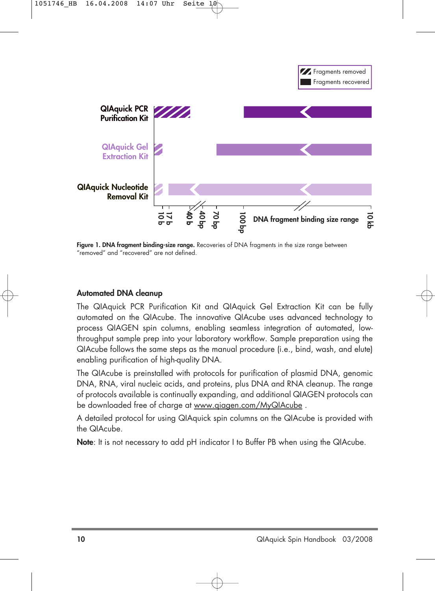



**Figure 1. DNA fragment binding-size range.** Recoveries of DNA fragments in the size range between "removed" and "recovered" are not defined.

### **Automated DNA cleanup**

The QIAquick PCR Purification Kit and QIAquick Gel Extraction Kit can be fully automated on the QIAcube. The innovative QIAcube uses advanced technology to process QIAGEN spin columns, enabling seamless integration of automated, lowthroughput sample prep into your laboratory workflow. Sample preparation using the QIAcube follows the same steps as the manual procedure (i.e., bind, wash, and elute) enabling purification of high-quality DNA.

The QIAcube is preinstalled with protocols for purification of plasmid DNA, genomic DNA, RNA, viral nucleic acids, and proteins, plus DNA and RNA cleanup. The range of protocols available is continually expanding, and additional QIAGEN protocols can be downloaded free of charge at www.qiagen.com/MyQIAcube .

A detailed protocol for using QIAquick spin columns on the QIAcube is provided with the QIAcube.

**Note**: It is not necessary to add pH indicator I to Buffer PB when using the QIAcube.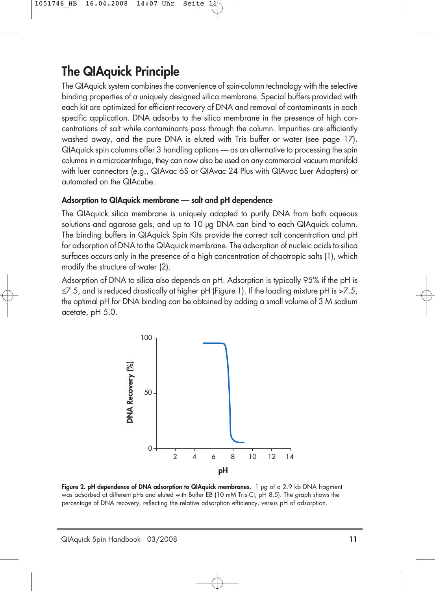# **The QIAquick Principle**

The QIAquick system combines the convenience of spin-column technology with the selective binding properties of a uniquely designed silica membrane. Special buffers provided with each kit are optimized for efficient recovery of DNA and removal of contaminants in each specific application. DNA adsorbs to the silica membrane in the presence of high concentrations of salt while contaminants pass through the column. Impurities are efficiently washed away, and the pure DNA is eluted with Tris buffer or water (see page 17). QIAquick spin columns offer 3 handling options — as an alternative to processing the spin columns in a microcentrifuge, they can now also be used on any commercial vacuum manifold with luer connectors (e.g., QIAvac 6S or QIAvac 24 Plus with QIAvac Luer Adapters) or automated on the QIAcube.

### **Adsorption to QIAquick membrane — salt and pH dependence**

The QIAquick silica membrane is uniquely adapted to purify DNA from both aqueous solutions and agarose gels, and up to 10 µg DNA can bind to each QIAquick column. The binding buffers in QIAquick Spin Kits provide the correct salt concentration and pH for adsorption of DNA to the QIAquick membrane. The adsorption of nucleic acids to silica surfaces occurs only in the presence of a high concentration of chaotropic salts (1), which modify the structure of water (2).

Adsorption of DNA to silica also depends on pH. Adsorption is typically 95% if the pH is  $\leq$ 7.5, and is reduced drastically at higher pH (Figure 1). If the loading mixture pH is  $>$ 7.5, the optimal pH for DNA binding can be obtained by adding a small volume of 3 M sodium acetate, pH 5.0.



Figure 2. pH dependence of DNA adsorption to QIAquick membranes. 1 µg of a 2.9 kb DNA fragment was adsorbed at different pHs and eluted with Buffer EB (10 mM Tris·Cl, pH 8.5). The graph shows the percentage of DNA recovery, reflecting the relative adsorption efficiency, versus pH of adsorption.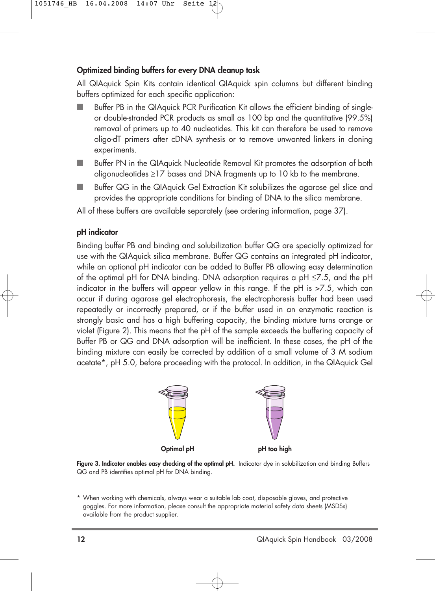### **Optimized binding buffers for every DNA cleanup task**

All QIAquick Spin Kits contain identical QIAquick spin columns but different binding buffers optimized for each specific application:

- Buffer PB in the QIAquick PCR Purification Kit allows the efficient binding of singleor double-stranded PCR products as small as 100 bp and the quantitative (99.5%) removal of primers up to 40 nucleotides. This kit can therefore be used to remove oligo-dT primers after cDNA synthesis or to remove unwanted linkers in cloning experiments.
- Buffer PN in the QIAquick Nucleotide Removal Kit promotes the adsorption of both oligonucleotides ≥17 bases and DNA fragments up to 10 kb to the membrane.
- Buffer QG in the QIAquick Gel Extraction Kit solubilizes the agarose gel slice and provides the appropriate conditions for binding of DNA to the silica membrane.

All of these buffers are available separately (see ordering information, page 37).

### **pH indicator**

Binding buffer PB and binding and solubilization buffer QG are specially optimized for use with the QIAquick silica membrane. Buffer QG contains an integrated pH indicator, while an optional pH indicator can be added to Buffer PB allowing easy determination ot the optimal pH tor DNA binding. DNA adsorption requires a pH  ${\leq}7.5,$  and the pH indicator in the buffers will appear yellow in this range. If the pH is >7.5, which can occur if during agarose gel electrophoresis, the electrophoresis buffer had been used repeatedly or incorrectly prepared, or if the buffer used in an enzymatic reaction is strongly basic and has a high buffering capacity, the binding mixture turns orange or violet (Figure 2). This means that the pH of the sample exceeds the buffering capacity of Buffer PB or QG and DNA adsorption will be inefficient. In these cases, the pH of the binding mixture can easily be corrected by addition of a small volume of 3 M sodium acetate\*, pH 5.0, before proceeding with the protocol. In addition, in the QIAquick Gel



**Figure 3. Indicator enables easy checking of the optimal pH.** Indicator dye in solubilization and binding Buffers QG and PB identifies optimal pH for DNA binding.

<sup>\*</sup> When working with chemicals, always wear a suitable lab coat, disposable gloves, and protective goggles. For more information, please consult the appropriate material safety data sheets (MSDSs) available from the product supplier.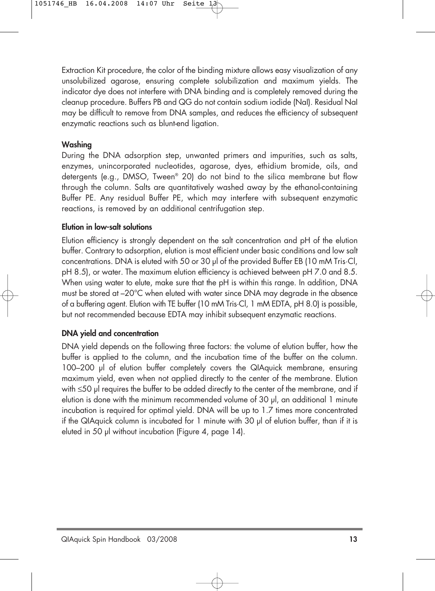Extraction Kit procedure, the color of the binding mixture allows easy visualization of any unsolubilized agarose, ensuring complete solubilization and maximum yields. The indicator dye does not interfere with DNA binding and is completely removed during the cleanup procedure. Buffers PB and QG do not contain sodium iodide (NaI). Residual NaI may be difficult to remove from DNA samples, and reduces the efficiency of subsequent enzymatic reactions such as blunt-end ligation.

### **Washing**

During the DNA adsorption step, unwanted primers and impurities, such as salts, enzymes, unincorporated nucleotides, agarose, dyes, ethidium bromide, oils, and detergents (e.g., DMSO, Tween® 20) do not bind to the silica membrane but flow through the column. Salts are quantitatively washed away by the ethanol-containing Buffer PE. Any residual Buffer PE, which may interfere with subsequent enzymatic reactions, is removed by an additional centrifugation step.

### **Elution in low-salt solutions**

Elution efficiency is strongly dependent on the salt concentration and pH of the elution buffer. Contrary to adsorption, elution is most efficient under basic conditions and low salt concentrations. DNA is eluted with 50 or 30 µl of the provided Buffer EB (10 mM Tris·Cl, pH 8.5), or water. The maximum elution efficiency is achieved between pH 7.0 and 8.5. When using water to elute, make sure that the pH is within this range. In addition, DNA must be stored at –20°C when eluted with water since DNA may degrade in the absence of a buffering agent. Elution with TE buffer (10 mM Tris·Cl, 1 mM EDTA, pH 8.0) is possible, but not recommended because EDTA may inhibit subsequent enzymatic reactions.

### **DNA yield and concentration**

DNA yield depends on the following three factors: the volume of elution buffer, how the buffer is applied to the column, and the incubation time of the buffer on the column. 100–200 µl of elution buffer completely covers the QIAquick membrane, ensuring maximum yield, even when not applied directly to the center of the membrane. Elution with ≤50 µl requires the buffer to be added directly to the center of the membrane, and if elution is done with the minimum recommended volume of 30 µl, an additional 1 minute incubation is required for optimal yield. DNA will be up to 1.7 times more concentrated if the QIAquick column is incubated for 1 minute with 30 µl of elution buffer, than if it is eluted in 50 µl without incubation (Figure 4, page 14).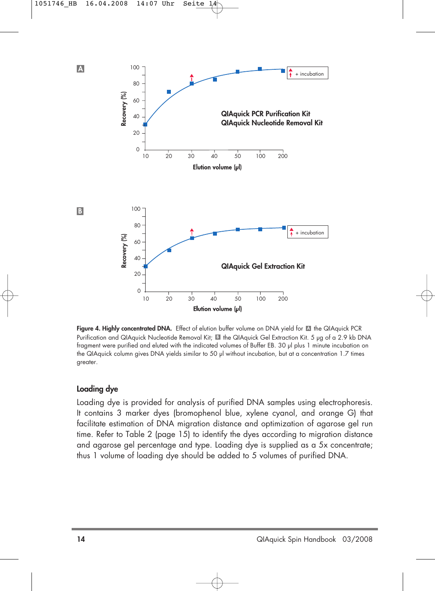

**Figure 4. Highly concentrated DNA.** Effect of elution buffer volume on DNA yield for the QIAquick PCR **A** Purification and QIAquick Nucleotide Removal Kit; Ell the QIAquick Gel Extraction Kit. 5 µg of a 2.9 kb DNA fragment were purified and eluted with the indicated volumes of Buffer EB. 30 µl plus 1 minute incubation on the QIAquick column gives DNA yields similar to 50 µl without incubation, but at a concentration 1.7 times greater.

### **Loading dye**

Loading dye is provided for analysis of purified DNA samples using electrophoresis. It contains 3 marker dyes (bromophenol blue, xylene cyanol, and orange G) that facilitate estimation of DNA migration distance and optimization of agarose gel run time. Refer to Table 2 (page 15) to identify the dyes according to migration distance and agarose gel percentage and type. Loading dye is supplied as a 5x concentrate; thus 1 volume of loading dye should be added to 5 volumes of purified DNA.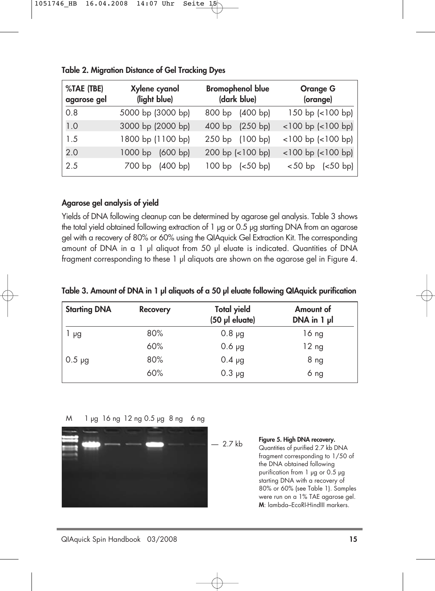| %TAE (TBE)<br>agarose gel | Xylene cyanol<br>(light blue)   | <b>Bromophenol blue</b><br>(dark blue) | <b>Orange G</b><br>(orange) |
|---------------------------|---------------------------------|----------------------------------------|-----------------------------|
| 0.8                       | 5000 bp (3000 bp)               | 800 bp (400 bp)                        | 150 bp (<100 bp)            |
| 1.0                       | 3000 bp (2000 bp)               | 400 bp<br>(250 bp)                     | $<$ 100 bp $(<$ 100 bp)     |
| 1.5                       | 1800 bp (1100 bp)               | 250 bp (100 bp)                        | $<$ 100 bp $(<$ 100 bp)     |
| 2.0                       | $1000$ bp<br>(600 bp)           | 200 bp (<100 bp)                       | $<$ 100 bp $(<$ 100 bp)     |
| 2.5                       | (400 b <sub>p</sub> )<br>700 bp | 100 bp (<50 bp)                        | $< 50$ bp $(< 50$ bp)       |

**Table 2. Migration Distance of Gel Tracking Dyes**

### **Agarose gel analysis of yield**

Yields of DNA following cleanup can be determined by agarose gel analysis. Table 3 shows the total yield obtained following extraction of 1 µg or 0.5 µg starting DNA from an agarose gel with a recovery of 80% or 60% using the QIAquick Gel Extraction Kit. The corresponding amount of DNA in a 1 µl aliquot from 50 µl eluate is indicated. Quantities of DNA fragment corresponding to these 1 µl aliquots are shown on the agarose gel in Figure 4.

| Table 3. Amount of DNA in 1 µl aliquots of a 50 µl eluate following QIAquick purification |  |  |  |  |  |  |  |
|-------------------------------------------------------------------------------------------|--|--|--|--|--|--|--|
|-------------------------------------------------------------------------------------------|--|--|--|--|--|--|--|

| <b>Starting DNA</b> | <b>Recovery</b> | <b>Total yield</b><br>(50 µl eluate) | Amount of<br>DNA in 1 µl |
|---------------------|-----------------|--------------------------------------|--------------------------|
| μg                  | 80%             | $0.8 \mu g$                          | 16 ng                    |
|                     | 60%             | $0.6$ $\mu$ g                        | 12 <sub>ng</sub>         |
| $0.5 \mu q$         | 80%             | $0.4 \mu g$                          | 8 <sub>ng</sub>          |
|                     | 60%             | $0.3 \mu g$                          | 6 ng                     |

M 1 µg 16 ng 12 ng 0.5 µg 8 ng 6 ng



```
— 2.7 kb Figure 5. High DNA recovery.
    Quantities of purified 2.7 kb DNA
    fragment corresponding to 1/50 of
    the DNA obtained following
    purification from 1 µg or 0.5 µg
    starting DNA with a recovery of
    80% or 60% (see Table 1). Samples
    were run on a 1% TAE agarose gel. 
    M: lambda–EcoRI-HindIII markers.
```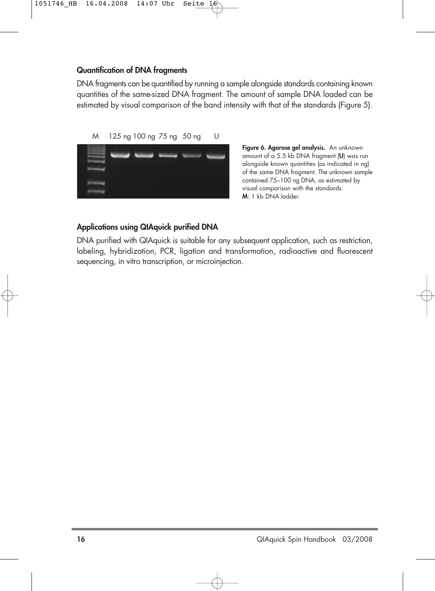### **Quantification of DNA fragments**

DNA fragments can be quantified by running a sample alongside standards containing known quantities of the same-sized DNA fragment. The amount of sample DNA loaded can be estimated by visual comparison of the band intensity with that of the standards (Figure 5).

M 125 ng 100 ng 75 ng 50 ng U



**Figure 6. Agarose gel analysis.** An unknown amount of a 5.5 kb DNA fragment (**U**) was run alongside known quantities (as indicated in ng) of the same DNA fragment. The unknown sample contained 75–100 ng DNA, as estimated by visual comparison with the standards. **M**: 1 kb DNA ladder.

### **Applications using QIAquick purified DNA**

DNA purified with QIAquick is suitable for any subsequent application, such as restriction, labeling, hybridization, PCR, ligation and transformation, radioactive and fluorescent sequencing, in vitro transcription, or microinjection.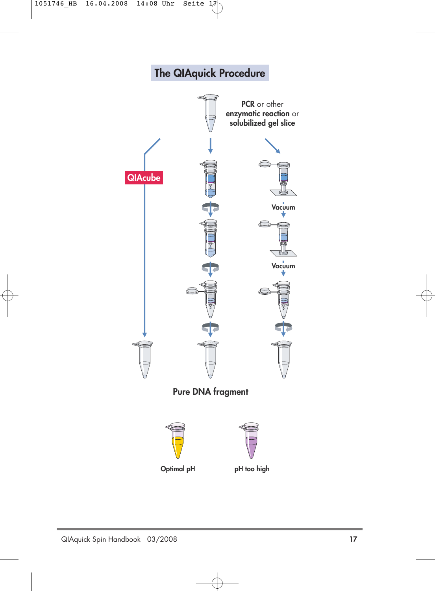# **The QIAquick Procedure**

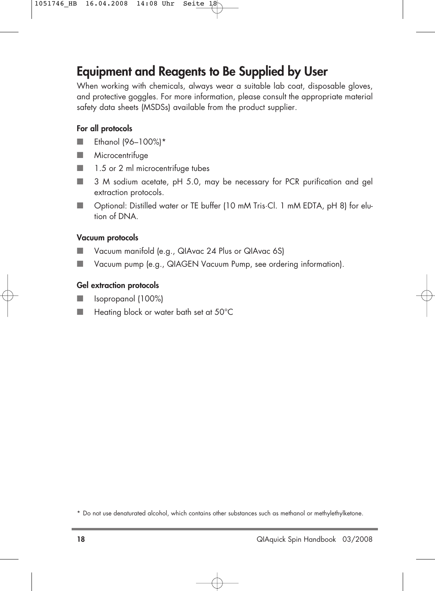### **Equipment and Reagents to Be Supplied by User**

When working with chemicals, always wear a suitable lab coat, disposable gloves, and protective goggles. For more information, please consult the appropriate material safety data sheets (MSDSs) available from the product supplier.

### **For all protocols**

- Ethanol (96-100%)\*
- Microcentrifuge
- 1.5 or 2 ml microcentrifuge tubes
- 3 M sodium acetate, pH 5.0, may be necessary for PCR purification and gel extraction protocols.
- Optional: Distilled water or TE buffer (10 mM Tris·Cl. 1 mM EDTA, pH 8) for elution of DNA.

#### **Vacuum protocols**

- Vacuum manifold (e.g., QIAvac 24 Plus or QIAvac 6S)
- Vacuum pump (e.g., QIAGEN Vacuum Pump, see ordering information).

#### **Gel extraction protocols**

- Isopropanol (100%)
- Heating block or water bath set at 50°C

<sup>\*</sup> Do not use denaturated alcohol, which contains other substances such as methanol or methylethylketone.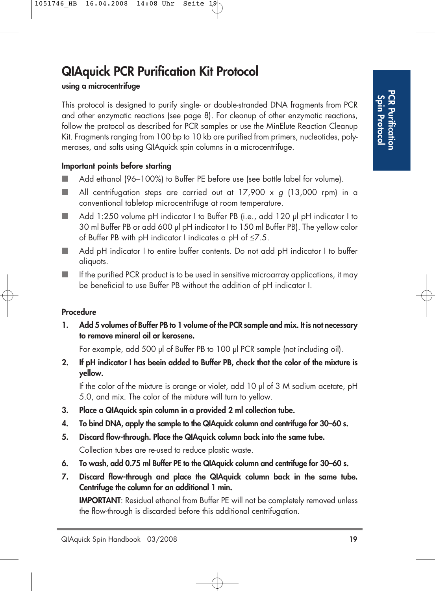# **QIAquick PCR Purification Kit Protocol**

### **using a microcentrifuge**

This protocol is designed to purify single- or double-stranded DNA fragments from PCR and other enzymatic reactions (see page 8). For cleanup of other enzymatic reactions, follow the protocol as described for PCR samples or use the MinElute Reaction Cleanup Kit. Fragments ranging from 100 bp to 10 kb are purified from primers, nucleotides, polymerases, and salts using QIAquick spin columns in a microcentrifuge.

### **Important points before starting**

- Add ethanol (96–100%) to Buffer PE before use (see bottle label for volume).
- $\blacksquare$  All centrifugation steps are carried out at 17,900 x g (13,000 rpm) in a conventional tabletop microcentrifuge at room temperature.
- Add 1:250 volume pH indicator I to Buffer PB (i.e., add 120 µl pH indicator I to 30 ml Buffer PB or add 600 µl pH indicator I to 150 ml Buffer PB). The yellow color ot Butter PB with pH indicator I indicates a pH ot  $\leq 7.5.$
- Add pH indicator I to entire buffer contents. Do not add pH indicator I to buffer aliquots.
- $\blacksquare$  If the purified PCR product is to be used in sensitive microarray applications, it may be beneficial to use Buffer PB without the addition of pH indicator I.

### **Procedure**

**1. Add 5 volumes of Buffer PB to 1 volume of the PCR sample and mix. It is not necessary to remove mineral oil or kerosene.**

For example, add 500 µl of Buffer PB to 100 µl PCR sample (not including oil).

**2. If pH indicator I has beein added to Buffer PB, check that the color of the mixture is yellow.**

If the color of the mixture is orange or violet, add 10 µl of 3 M sodium acetate, pH 5.0, and mix. The color of the mixture will turn to yellow.

- **3. Place a QIAquick spin column in a provided 2 ml collection tube.**
- **4. To bind DNA, apply the sample to the QIAquick column and centrifuge for 30–60 s.**
- **5. Discard flow-through. Place the QIAquick column back into the same tube.** Collection tubes are re-used to reduce plastic waste.
- **6. To wash, add 0.75 ml Buffer PE to the QIAquick column and centrifuge for 30–60 s.**
- **7. Discard flow-through and place the QIAquick column back in the same tube. Centrifuge the column for an additional 1 min.**

**IMPORTANT:** Residual ethanol from Buffer PE will not be completely removed unless the flow-through is discarded before this additional centrifugation.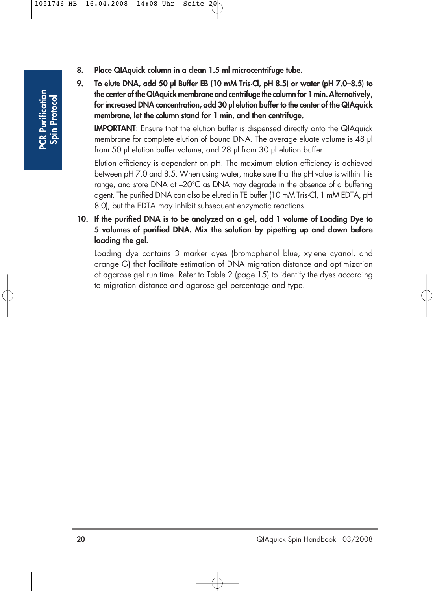- **8. Place QIAquick column in a clean 1.5 ml microcentrifuge tube.**
- **9. To elute DNA, add 50 µl Buffer EB (10 mM Tris·Cl, pH 8.5) or water (pH 7.0–8.5) to the center of the QIAquick membrane and centrifuge the column for 1 min. Alternatively, for increased DNA concentration, add 30 µl elution buffer to the center of the QIAquick membrane, let the column stand for 1 min, and then centrifuge.**

**IMPORTANT:** Ensure that the elution buffer is dispensed directly onto the QIAquick membrane for complete elution of bound DNA. The average eluate volume is 48 µl from 50 µl elution buffer volume, and 28 µl from 30 µl elution buffer.

Elution efficiency is dependent on pH. The maximum elution efficiency is achieved between pH 7.0 and 8.5. When using water, make sure that the pH value is within this range, and store DNA at –20°C as DNA may degrade in the absence of a buffering agent. The purified DNA can also be eluted in TE buffer (10 mM Tris·Cl, 1 mM EDTA, pH 8.0), but the EDTA may inhibit subsequent enzymatic reactions.

**10. If the purified DNA is to be analyzed on a gel, add 1 volume of Loading Dye to 5 volumes of purified DNA. Mix the solution by pipetting up and down before loading the gel.** 

Loading dye contains 3 marker dyes (bromophenol blue, xylene cyanol, and orange G) that facilitate estimation of DNA migration distance and optimization of agarose gel run time. Refer to Table 2 (page 15) to identify the dyes according to migration distance and agarose gel percentage and type.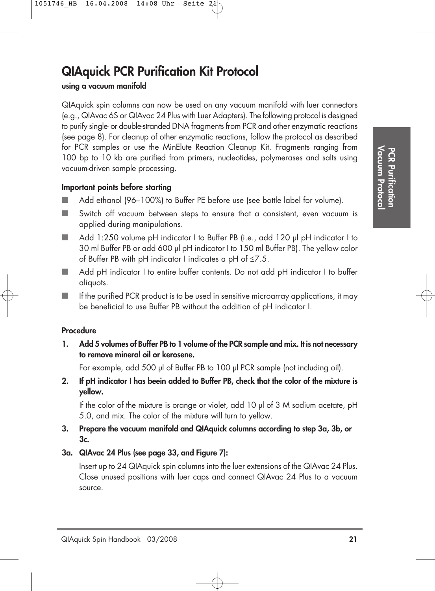## **QIAquick PCR Purification Kit Protocol**

### **using a vacuum manifold**

QIAquick spin columns can now be used on any vacuum manifold with luer connectors (e.g., QIAvac 6S or QIAvac 24 Plus with Luer Adapters). The following protocol is designed to purify single- or double-stranded DNA fragments from PCR and other enzymatic reactions (see page 8). For cleanup of other enzymatic reactions, follow the protocol as described for PCR samples or use the MinElute Reaction Cleanup Kit. Fragments ranging from 100 bp to 10 kb are purified from primers, nucleotides, polymerases and salts using vacuum-driven sample processing.

### **Important points before starting**

- Add ethanol (96–100%) to Buffer PE before use (see bottle label for volume).
- Switch off vacuum between steps to ensure that a consistent, even vacuum is applied during manipulations.
- Add 1:250 volume pH indicator I to Buffer PB (i.e., add 120 µl pH indicator I to 30 ml Buffer PB or add 600 µl pH indicator I to 150 ml Buffer PB). The yellow color ot Butter PB with pH indicator I indicates a pH ot  $\leq 7.5.$
- Add pH indicator I to entire buffer contents. Do not add pH indicator I to buffer aliquots.
- $\blacksquare$  If the purified PCR product is to be used in sensitive microarray applications, it may be beneficial to use Buffer PB without the addition of pH indicator I.

### **Procedure**

**1. Add 5 volumes of Buffer PB to 1 volume of the PCR sample and mix. It is not necessary to remove mineral oil or kerosene.**

For example, add 500 µl of Buffer PB to 100 µl PCR sample (not including oil).

**2. If pH indicator I has beein added to Buffer PB, check that the color of the mixture is yellow.**

If the color of the mixture is orange or violet, add 10 µl of 3 M sodium acetate, pH 5.0, and mix. The color of the mixture will turn to yellow.

- **3. Prepare the vacuum manifold and QIAquick columns according to step 3a, 3b, or 3c.**
- **3a. QIAvac 24 Plus (see page 33, and Figure 7):**

Insert up to 24 QIAquick spin columns into the luer extensions of the QIAvac 24 Plus. Close unused positions with luer caps and connect QIAvac 24 Plus to a vacuum source.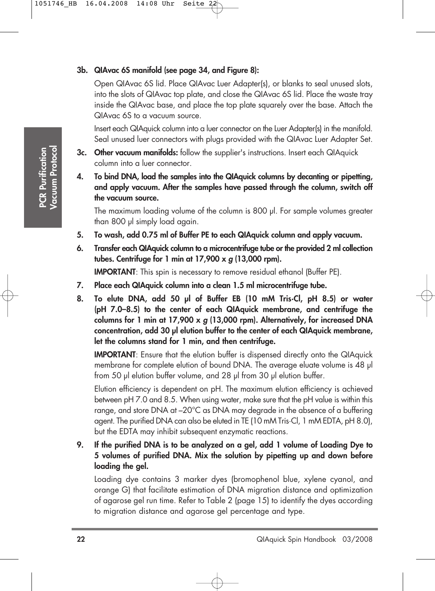### **3b. QIAvac 6S manifold (see page 34, and Figure 8):**

Open QIAvac 6S lid. Place QIAvac Luer Adapter(s), or blanks to seal unused slots, into the slots of QIAvac top plate, and close the QIAvac 6S lid. Place the waste tray inside the QIAvac base, and place the top plate squarely over the base. Attach the QIAvac 6S to a vacuum source.

Insert each QIAquick column into a luer connector on the Luer Adapter(s) in the manifold. Seal unused luer connectors with plugs provided with the QIAvac Luer Adapter Set.

- **3c. Other vacuum manifolds:** follow the supplier's instructions. Insert each QIAquick column into a luer connector.
- **4. To bind DNA, load the samples into the QIAquick columns by decanting or pipetting, and apply vacuum. After the samples have passed through the column, switch off the vacuum source.**

The maximum loading volume of the column is 800 µl. For sample volumes greater than 800 µl simply load again.

- **5. To wash, add 0.75 ml of Buffer PE to each QIAquick column and apply vacuum.**
- **6. Transfer each QIAquick column to a microcentrifuge tube or the provided 2 ml collection tubes. Centrifuge for 1 min at 17,900 x g (13,000 rpm).**

**IMPORTANT:** This spin is necessary to remove residual ethanol (Buffer PE).

- **7. Place each QIAquick column into a clean 1.5 ml microcentrifuge tube.**
- **8. To elute DNA, add 50 µl of Buffer EB (10 mM Tris·Cl, pH 8.5) or water (pH 7.0–8.5) to the center of each QIAquick membrane, and centrifuge the columns for 1 min at 17,900 x g (13,000 rpm). Alternatively, for increased DNA concentration, add 30 µl elution buffer to the center of each QIAquick membrane, let the columns stand for 1 min, and then centrifuge.**

**IMPORTANT:** Ensure that the elution buffer is dispensed directly onto the QIAquick membrane for complete elution of bound DNA. The average eluate volume is 48 µl from 50 µl elution buffer volume, and 28 µl from 30 µl elution buffer.

Elution efficiency is dependent on pH. The maximum elution efficiency is achieved between pH 7.0 and 8.5. When using water, make sure that the pH value is within this range, and store DNA at –20°C as DNA may degrade in the absence of a buffering agent. The purified DNA can also be eluted in TE (10 mM Tris·Cl, 1 mM EDTA, pH 8.0), but the EDTA may inhibit subsequent enzymatic reactions.

**9. If the purified DNA is to be analyzed on a gel, add 1 volume of Loading Dye to 5 volumes of purified DNA. Mix the solution by pipetting up and down before loading the gel.** 

Loading dye contains 3 marker dyes (bromophenol blue, xylene cyanol, and orange G) that facilitate estimation of DNA migration distance and optimization of agarose gel run time. Refer to Table 2 (page 15) to identify the dyes according to migration distance and agarose gel percentage and type.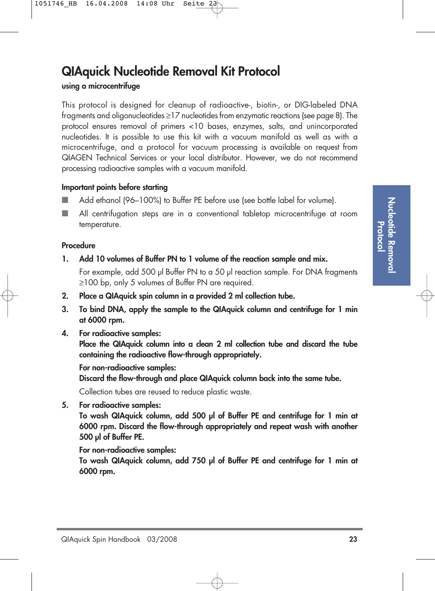### **QIAquick Nucleotide Removal Kit Protocol**

**using a microcentrifuge**

This protocol is designed for cleanup of radioactive-, biotin-, or DIG-labeled DNA fragments and oligonucleotides ≥17 nucleotides from enzymatic reactions (see page 8). The protocol ensures removal of primers <10 bases, enzymes, salts, and unincorporated nucleotides. It is possible to use this kit with a vacuum manifold as well as with a microcentrifuge, and a protocol for vacuum processing is available on request from QIAGEN Technical Services or your local distributor. However, we do not recommend processing radioactive samples with a vacuum manifold.

### **Important points before starting**

- Add ethanol (96–100%) to Buffer PE before use (see bottle label for volume).
- All centrifugation steps are in a conventional tabletop microcentrifuge at room temperature.

### **Procedure**

**1. Add 10 volumes of Buffer PN to 1 volume of the reaction sample and mix.**

For example, add 500 µl Buffer PN to a 50 µl reaction sample. For DNA fragments ≥100 bp, only 5 volumes of Buffer PN are required.

- **2. Place a QIAquick spin column in a provided 2 ml collection tube.**
- **3. To bind DNA, apply the sample to the QIAquick column and centrifuge for 1 min at 6000 rpm.**
- **4. For radioactive samples:**

**Place the QIAquick column into a clean 2 ml collection tube and discard the tube containing the radioactive flow-through appropriately.**

### **For non-radioactive samples:**

**Discard the flow-through and place QIAquick column back into the same tube.**

Collection tubes are reused to reduce plastic waste.

**5. For radioactive samples:**

**To wash QIAquick column, add 500 µl of Buffer PE and centrifuge for 1 min at 6000 rpm. Discard the flow-through appropriately and repeat wash with another 500 µl of Buffer PE.**

### **For non-radioactive samples:**

**To wash QIAquick column, add 750 µl of Buffer PE and centrifuge for 1 min at 6000 rpm.**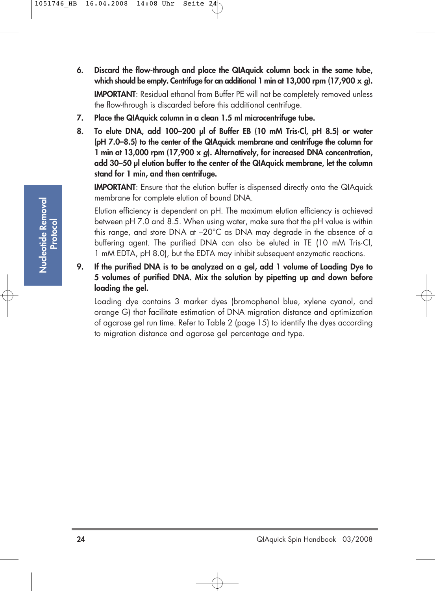- **6. Discard the flow-through and place the QIAquick column back in the same tube, which should be empty. Centrifuge for an additional 1 min at 13,000 rpm (17,900 x g). IMPORTANT:** Residual ethanol from Buffer PE will not be completely removed unless the flow-through is discarded before this additional centrifuge.
- **7. Place the QIAquick column in a clean 1.5 ml microcentrifuge tube.**
- **8. To elute DNA, add 100–200 µl of Buffer EB (10 mM Tris·Cl, pH 8.5) or water (pH 7.0–8.5) to the center of the QIAquick membrane and centrifuge the column for 1 min at 13,000 rpm (17,900 x g). Alternatively, for increased DNA concentration, add 30–50 µl elution buffer to the center of the QIAquick membrane, let the column stand for 1 min, and then centrifuge.**

**IMPORTANT:** Ensure that the elution buffer is dispensed directly onto the QIAquick membrane for complete elution of bound DNA.

Elution efficiency is dependent on pH. The maximum elution efficiency is achieved between pH 7.0 and 8.5. When using water, make sure that the pH value is within this range, and store DNA at –20°C as DNA may degrade in the absence of a buffering agent. The purified DNA can also be eluted in TE (10 mM Tris·Cl, 1 mM EDTA, pH 8.0), but the EDTA may inhibit subsequent enzymatic reactions.

**9. If the purified DNA is to be analyzed on a gel, add 1 volume of Loading Dye to 5 volumes of purified DNA. Mix the solution by pipetting up and down before loading the gel.** 

Loading dye contains 3 marker dyes (bromophenol blue, xylene cyanol, and orange G) that facilitate estimation of DNA migration distance and optimization of agarose gel run time. Refer to Table 2 (page 15) to identify the dyes according to migration distance and agarose gel percentage and type.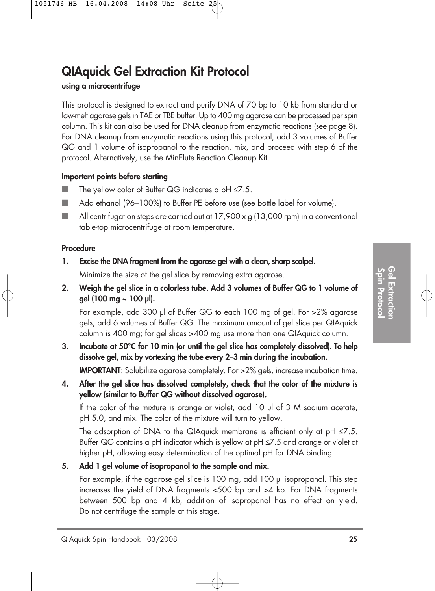### **QIAquick Gel Extraction Kit Protocol**

### **using a microcentrifuge**

This protocol is designed to extract and purify DNA of 70 bp to 10 kb from standard or low-melt agarose gels in TAE or TBE buffer. Up to 400 mg agarose can be processed per spin column. This kit can also be used for DNA cleanup from enzymatic reactions (see page 8). For DNA cleanup from enzymatic reactions using this protocol, add 3 volumes of Buffer QG and 1 volume of isopropanol to the reaction, mix, and proceed with step 6 of the protocol. Alternatively, use the MinElute Reaction Cleanup Kit.

### **Important points before starting**

- $\blacksquare$  The yellow color of Buffer QG indicates a pH  $\leq$ 7.5.
- Add ethanol (96–100%) to Buffer PE before use (see bottle label for volume).
- $\blacksquare$  All centrifugation steps are carried out at 17,900 x g (13,000 rpm) in a conventional table-top microcentrifuge at room temperature.

### **Procedure**

- **1. Excise the DNA fragment from the agarose gel with a clean, sharp scalpel.** Minimize the size of the gel slice by removing extra agarose.
- **2. Weigh the gel slice in a colorless tube. Add 3 volumes of Buffer QG to 1 volume of gel (100 mg ~ 100 µl).**

For example, add 300 µl of Buffer QG to each 100 mg of gel. For >2% agarose gels, add 6 volumes of Buffer QG. The maximum amount of gel slice per QIAquick column is 400 mg; for gel slices >400 mg use more than one QIAquick column.

**3. Incubate at 50°C for 10 min (or until the gel slice has completely dissolved). To help dissolve gel, mix by vortexing the tube every 2–3 min during the incubation.** 

**IMPORTANT:** Solubilize agarose completely. For >2% gels, increase incubation time.

**4. After the gel slice has dissolved completely, check that the color of the mixture is yellow (similar to Buffer QG without dissolved agarose).** 

If the color of the mixture is orange or violet, add 10 µl of 3 M sodium acetate, pH 5.0, and mix. The color of the mixture will turn to yellow.

The adsorption of DNA to the QIAquick membrane is efficient only at  $pH \le 7.5$ . Buffer QG contains a pH indicator which is yellow at pH ≤7.5 and orange or violet at higher pH, allowing easy determination of the optimal pH for DNA binding.

**5. Add 1 gel volume of isopropanol to the sample and mix.**

For example, if the agarose gel slice is 100 mg, add 100 µl isopropanol. This step increases the yield of DNA fragments <500 bp and >4 kb. For DNA fragments between 500 bp and 4 kb, addition of isopropanol has no effect on yield. Do not centrifuge the sample at this stage.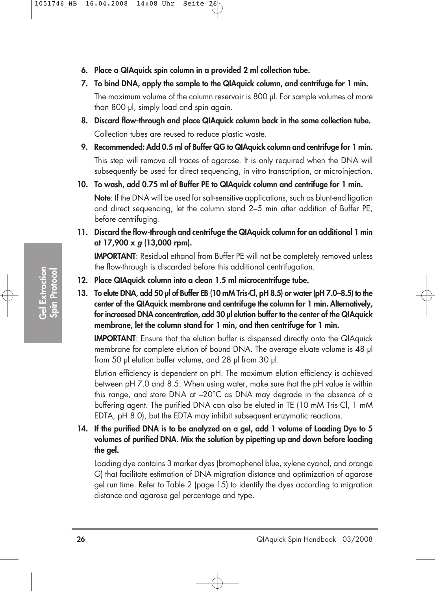- **6. Place a QIAquick spin column in a provided 2 ml collection tube.**
- **7. To bind DNA, apply the sample to the QIAquick column, and centrifuge for 1 min.** The maximum volume of the column reservoir is 800 µl. For sample volumes of more than 800 µl, simply load and spin again.
- **8. Discard flow-through and place QIAquick column back in the same collection tube.** Collection tubes are reused to reduce plastic waste.
- **9. Recommended: Add 0.5 ml of Buffer QG to QIAquick column and centrifuge for 1 min.** This step will remove all traces of agarose. It is only required when the DNA will subsequently be used for direct sequencing, in vitro transcription, or microinjection.
- **10. To wash, add 0.75 ml of Buffer PE to QIAquick column and centrifuge for 1 min.**

**Note**: If the DNA will be used for salt-sensitive applications, such as blunt-end ligation and direct sequencing, let the column stand 2–5 min after addition of Buffer PE, before centrifuging.

**11. Discard the flow-through and centrifuge the QIAquick column for an additional 1 min at 17,900 x g (13,000 rpm).**

**IMPORTANT**: Residual ethanol from Buffer PE will not be completely removed unless the flow-through is discarded before this additional centrifugation.

- **12. Place QIAquick column into a clean 1.5 ml microcentrifuge tube.**
- **13. To elute DNA, add 50 µl of Buffer EB (10 mM Tris·Cl, pH 8.5) or water (pH 7.0–8.5) to the center of the QIAquick membrane and centrifuge the column for 1 min. Alternatively, for increased DNA concentration, add 30 µl elution buffer to the center of the QIAquick membrane, let the column stand for 1 min, and then centrifuge for 1 min.**

**IMPORTANT:** Ensure that the elution buffer is dispensed directly onto the QIAquick membrane for complete elution of bound DNA. The average eluate volume is 48 µl from 50 µl elution buffer volume, and 28 µl from 30 µl.

Elution efficiency is dependent on pH. The maximum elution efficiency is achieved between pH 7.0 and 8.5. When using water, make sure that the pH value is within this range, and store DNA at –20°C as DNA may degrade in the absence of a buffering agent. The purified DNA can also be eluted in TE (10 mM Tris·Cl, 1 mM EDTA, pH 8.0), but the EDTA may inhibit subsequent enzymatic reactions.

**14. If the purified DNA is to be analyzed on a gel, add 1 volume of Loading Dye to 5 volumes of purified DNA. Mix the solution by pipetting up and down before loading the gel.** 

Loading dye contains 3 marker dyes (bromophenol blue, xylene cyanol, and orange G) that facilitate estimation of DNA migration distance and optimization of agarose gel run time. Refer to Table 2 (page 15) to identify the dyes according to migration distance and agarose gel percentage and type.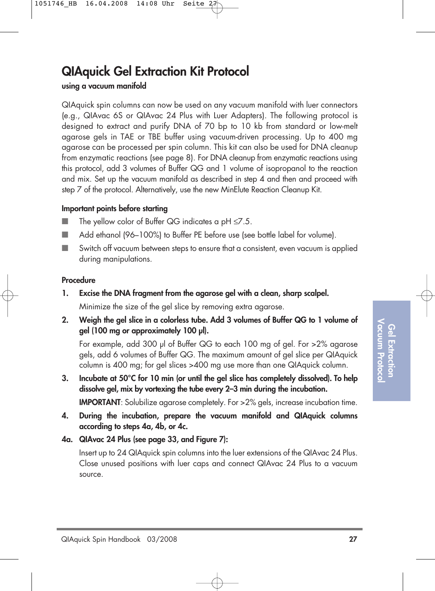# **QIAquick Gel Extraction Kit Protocol**

### **using a vacuum manifold**

QIAquick spin columns can now be used on any vacuum manifold with luer connectors (e.g., QIAvac 6S or QIAvac 24 Plus with Luer Adapters). The following protocol is designed to extract and purify DNA of 70 bp to 10 kb from standard or low-melt agarose gels in TAE or TBE buffer using vacuum-driven processing. Up to 400 mg agarose can be processed per spin column. This kit can also be used for DNA cleanup from enzymatic reactions (see page 8). For DNA cleanup from enzymatic reactions using this protocol, add 3 volumes of Buffer QG and 1 volume of isopropanol to the reaction and mix. Set up the vacuum manifold as described in step 4 and then and proceed with step 7 of the protocol. Alternatively, use the new MinElute Reaction Cleanup Kit.

### **Important points before starting**

- The yellow color of Buffer QG indicates a pH ≤7.5.
- Add ethanol (96–100%) to Buffer PE before use (see bottle label for volume).
- Switch off vacuum between steps to ensure that a consistent, even vacuum is applied during manipulations.

### **Procedure**

- **1. Excise the DNA fragment from the agarose gel with a clean, sharp scalpel.** Minimize the size of the gel slice by removing extra agarose.
- **2. Weigh the gel slice in a colorless tube. Add 3 volumes of Buffer QG to 1 volume of gel (100 mg or approximately 100 µl).**

For example, add 300 µl of Buffer QG to each 100 mg of gel. For >2% agarose gels, add 6 volumes of Buffer QG. The maximum amount of gel slice per QIAquick column is 400 mg; for gel slices >400 mg use more than one QIAquick column.

- **3. Incubate at 50°C for 10 min (or until the gel slice has completely dissolved). To help dissolve gel, mix by vortexing the tube every 2–3 min during the incubation. IMPORTANT:** Solubilize agarose completely. For >2% gels, increase incubation time.
- **4. During the incubation, prepare the vacuum manifold and QIAquick columns according to steps 4a, 4b, or 4c.**
- **4a. QIAvac 24 Plus (see page 33, and Figure 7):**

Insert up to 24 QIAquick spin columns into the luer extensions of the QIAvac 24 Plus. Close unused positions with luer caps and connect QIAvac 24 Plus to a vacuum source.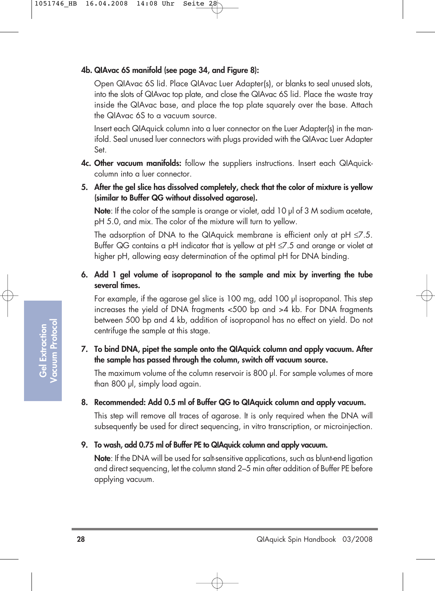### **4b. QIAvac 6S manifold (see page 34, and Figure 8):**

Open QIAvac 6S lid. Place QIAvac Luer Adapter(s), or blanks to seal unused slots, into the slots of QIAvac top plate, and close the QIAvac 6S lid. Place the waste tray inside the QIAvac base, and place the top plate squarely over the base. Attach the QIAvac 6S to a vacuum source.

Insert each QIAquick column into a luer connector on the Luer Adapter(s) in the manifold. Seal unused luer connectors with plugs provided with the QIAvac Luer Adapter Set.

- **4c. Other vacuum manifolds:** follow the suppliers instructions. Insert each QIAquickcolumn into a luer connector.
- **5. After the gel slice has dissolved completely, check that the color of mixture is yellow (similar to Buffer QG without dissolved agarose).**

**Note**: If the color of the sample is orange or violet, add 10 µl of 3 M sodium acetate, pH 5.0, and mix. The color of the mixture will turn to yellow.

The adsorption of DNA to the QIAquick membrane is efficient only at  $pH \le 7.5$ . Buffer QG contains a pH indicator that is yellow at pH  $\leq$ 7.5 and orange or violet at higher pH, allowing easy determination of the optimal pH for DNA binding.

### **6. Add 1 gel volume of isopropanol to the sample and mix by inverting the tube several times.**

For example, if the agarose gel slice is 100 mg, add 100 µl isopropanol. This step increases the yield of DNA fragments <500 bp and >4 kb. For DNA fragments between 500 bp and 4 kb, addition of isopropanol has no effect on yield. Do not centrifuge the sample at this stage.

### **7. To bind DNA, pipet the sample onto the QIAquick column and apply vacuum. After the sample has passed through the column, switch off vacuum source.**

The maximum volume of the column reservoir is 800 µl. For sample volumes of more than 800 µl, simply load again.

### **8. Recommended: Add 0.5 ml of Buffer QG to QIAquick column and apply vacuum.**

This step will remove all traces of agarose. It is only required when the DNA will subsequently be used for direct sequencing, in vitro transcription, or microinjection.

### **9. To wash, add 0.75 ml of Buffer PE to QIAquick column and apply vacuum.**

**Note**: If the DNA will be used for salt-sensitive applications, such as blunt-end ligation and direct sequencing, let the column stand 2–5 min after addition of Buffer PE before applying vacuum.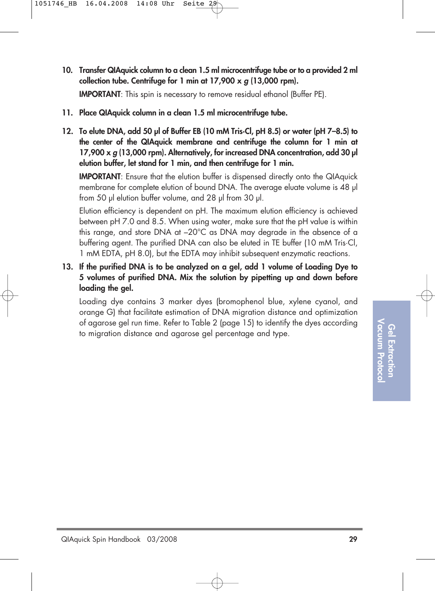Vacuum Protocol **Vacuum Protocol** Gel Extractior **Gel Extraction**

**10. Transfer QIAquick column to a clean 1.5 ml microcentrifuge tube or to a provided 2 ml collection tube. Centrifuge for 1 min at 17,900 x g (13,000 rpm).**

**IMPORTANT:** This spin is necessary to remove residual ethanol (Buffer PE).

- **11. Place QIAquick column in a clean 1.5 ml microcentrifuge tube.**
- **12. To elute DNA, add 50 µl of Buffer EB (10 mM Tris·Cl, pH 8.5) or water (pH 7–8.5) to the center of the QIAquick membrane and centrifuge the column for 1 min at 17,900 x g (13,000 rpm). Alternatively, for increased DNA concentration, add 30 µl elution buffer, let stand for 1 min, and then centrifuge for 1 min.**

**IMPORTANT:** Ensure that the elution buffer is dispensed directly onto the QIAquick membrane for complete elution of bound DNA. The average eluate volume is 48 µl from 50 µl elution buffer volume, and 28 µl from 30 µl.

Elution efficiency is dependent on pH. The maximum elution efficiency is achieved between pH 7.0 and 8.5. When using water, make sure that the pH value is within this range, and store DNA at –20°C as DNA may degrade in the absence of a buffering agent. The purified DNA can also be eluted in TE buffer (10 mM Tris·Cl, 1 mM EDTA, pH 8.0), but the EDTA may inhibit subsequent enzymatic reactions.

**13. If the purified DNA is to be analyzed on a gel, add 1 volume of Loading Dye to 5 volumes of purified DNA. Mix the solution by pipetting up and down before loading the gel.** 

Loading dye contains 3 marker dyes (bromophenol blue, xylene cyanol, and orange G) that facilitate estimation of DNA migration distance and optimization of agarose gel run time. Refer to Table 2 (page 15) to identify the dyes according to migration distance and agarose gel percentage and type.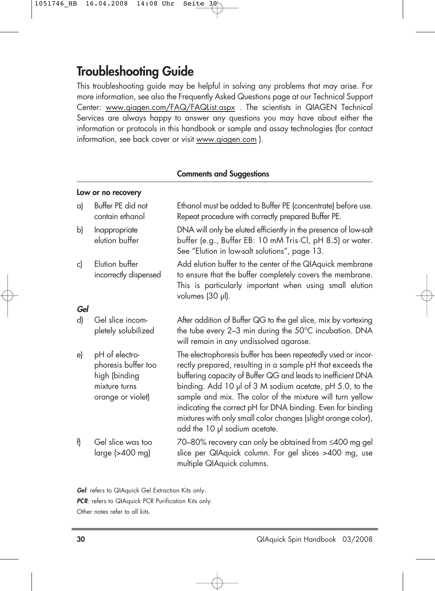### **Troubleshooting Guide**

This troubleshooting guide may be helpful in solving any problems that may arise. For more information, see also the Frequently Asked Questions page at our Technical Support Center: www.qiagen.com/FAQ/FAQList.aspx . The scientists in QIAGEN Technical Services are always happy to answer any questions you may have about either the information or protocols in this handbook or sample and assay technologies (for contact information, see back cover or visit www.qiagen.com ).

#### **Comments and Suggestions**

#### **Low or no recovery**

| a)  | Buffer PE did not<br>contain ethanol                                                         | Ethanol must be added to Buffer PE (concentrate) before use.<br>Repeat procedure with correctly prepared Buffer PE.                                                                                                                                                                                                                                                                                                                                                                   |
|-----|----------------------------------------------------------------------------------------------|---------------------------------------------------------------------------------------------------------------------------------------------------------------------------------------------------------------------------------------------------------------------------------------------------------------------------------------------------------------------------------------------------------------------------------------------------------------------------------------|
| b)  | Inappropriate<br>elution buffer                                                              | DNA will only be eluted efficiently in the presence of low-salt<br>buffer (e.g., Buffer EB: 10 mM Tris Cl, pH 8.5) or water.<br>See "Elution in low-salt solutions", page 13.                                                                                                                                                                                                                                                                                                         |
| c)  | Elution buffer<br>incorrectly dispensed                                                      | Add elution buffer to the center of the QIAquick membrane<br>to ensure that the buffer completely covers the membrane.<br>This is particularly important when using small elution<br>volumes (30 µl).                                                                                                                                                                                                                                                                                 |
| Gel |                                                                                              |                                                                                                                                                                                                                                                                                                                                                                                                                                                                                       |
| d)  | Gel slice incom-<br>pletely solubilized                                                      | After addition of Buffer QG to the gel slice, mix by vortexing<br>the tube every 2-3 min during the 50°C incubation. DNA<br>will remain in any undissolved agarose.                                                                                                                                                                                                                                                                                                                   |
| e)  | pH of electro-<br>phoresis buffer too<br>high (binding<br>mixture turns<br>orange or violet) | The electrophoresis buffer has been repeatedly used or incor-<br>rectly prepared, resulting in a sample pH that exceeds the<br>buffering capacity of Buffer QG and leads to inefficient DNA<br>binding. Add 10 µl of 3 M sodium acetate, pH 5.0, to the<br>sample and mix. The color of the mixture will turn yellow<br>indicating the correct pH for DNA binding. Even for binding<br>mixtures with only small color changes (slight orange color),<br>add the 10 µl sodium acetate. |
| f)  | Gel slice was too<br>large (>400 mg)                                                         | 70–80% recovery can only be obtained from ≤400 mg gel<br>slice per QIAquick column. For gel slices >400 mg, use<br>multiple QIAquick columns.                                                                                                                                                                                                                                                                                                                                         |

**Gel**: refers to QIAquick Gel Extraction Kits only.

**PCR:** refers to QIAquick PCR Purification Kits only.

Other notes refer to all kits.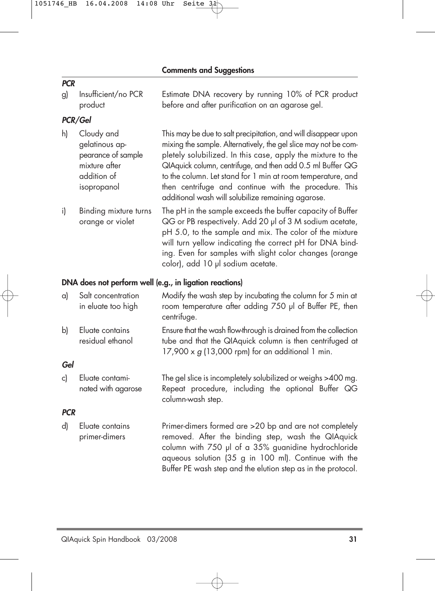### **PCR**

g) Insufficient/no PCR Estimate DNA recovery by running 10% of PCR product product before and after purification on an agarose gel.

### **PCR/Gel**

- h) Cloudy and This may be due to salt precipitation, and will disappear upon gelatinous ap- mixing the sample. Alternatively, the gel slice may not be compearance of sample pletely solubilized. In this case, apply the mixture to the mixture after **QIAquick column, centrifuge, and then add 0.5 ml Buffer QG** addition of to the column. Let stand for 1 min at room temperature, and isopropanol then centrifuge and continue with the procedure. This additional wash will solubilize remaining agarose.
- i) Binding mixture turns The pH in the sample exceeds the buffer capacity of Buffer orange or violet QG or PB respectively. Add 20 µl of 3 M sodium acetate, pH 5.0, to the sample and mix. The color of the mixture will turn yellow indicating the correct pH for DNA binding. Even for samples with slight color changes (orange color), add 10 µl sodium acetate.

### **DNA does not perform well (e.g., in ligation reactions)**

- a) Salt concentration Modify the wash step by incubating the column for 5 min at in eluate too high room temperature after adding 750 µl of Buffer PE, then centrifuge.
- b) Eluate contains Ensure that the wash flow-through is drained from the collection residual ethanol tube and that the QIAquick column is then centrifuged at  $17,900 \times g$  (13,000 rpm) for an additional 1 min.

### **Gel**

c) Eluate contami- The gel slice is incompletely solubilized or weighs >400 mg. nated with agarose Repeat procedure, including the optional Buffer QG column-wash step.

### **PCR**

d) Eluate contains Primer-dimers formed are >20 bp and are not completely primer-dimers removed. After the binding step, wash the QIAquick column with 750 µl of a 35% guanidine hydrochloride

aqueous solution (35 g in 100 ml). Continue with the Buffer PE wash step and the elution step as in the protocol.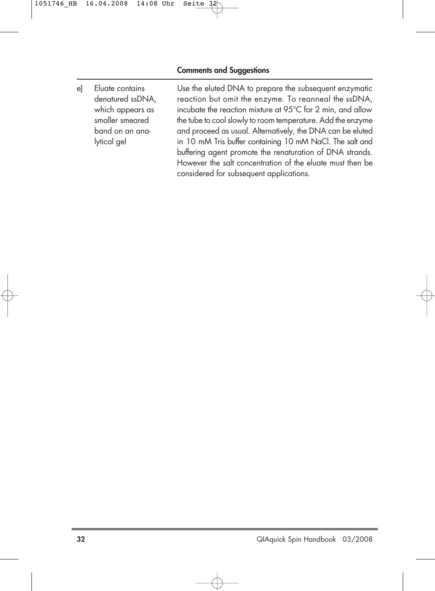e) Eluate contains Use the eluted DNA to prepare the subsequent enzymatic denatured ssDNA, reaction but omit the enzyme. To reanneal the ssDNA, which appears as incubate the reaction mixture at 95°C for 2 min, and allow smaller smeared the tube to cool slowly to room temperature. Add the enzyme band on an ana- and proceed as usual. Alternatively, the DNA can be eluted lytical gel in 10 mM Tris buffer containing 10 mM NaCl. The salt and buffering agent promote the renaturation of DNA strands. However the salt concentration of the eluate must then be considered for subsequent applications.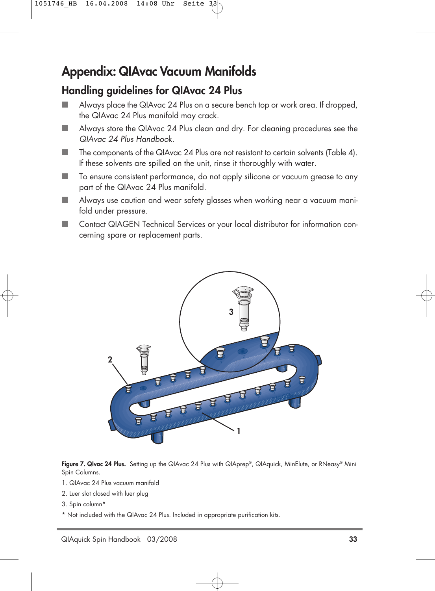# **Appendix: QIAvac Vacuum Manifolds**

### **Handling guidelines for QIAvac 24 Plus**

- Always place the QIAvac 24 Plus on a secure bench top or work area. If dropped, the QIAvac 24 Plus manifold may crack.
- Always store the QIAvac 24 Plus clean and dry. For cleaning procedures see the QIAvac 24 Plus Handbook.
- The components of the QIAvac 24 Plus are not resistant to certain solvents (Table 4). If these solvents are spilled on the unit, rinse it thoroughly with water.
- To ensure consistent performance, do not apply silicone or vacuum grease to any part of the QIAvac 24 Plus manifold.
- Always use caution and wear safety glasses when working near a vacuum manifold under pressure.
- Contact QIAGEN Technical Services or your local distributor for information concerning spare or replacement parts.



**Figure 7. QIvac 24 Plus.** Setting up the QIAvac 24 Plus with QIAprep®, QIAquick, MinElute, or RNeasy® Mini Spin Columns.

- 1. QIAvac 24 Plus vacuum manifold
- 2. Luer slot closed with luer plug
- 3. Spin column\*
- \* Not included with the QIAvac 24 Plus. Included in appropriate purification kits.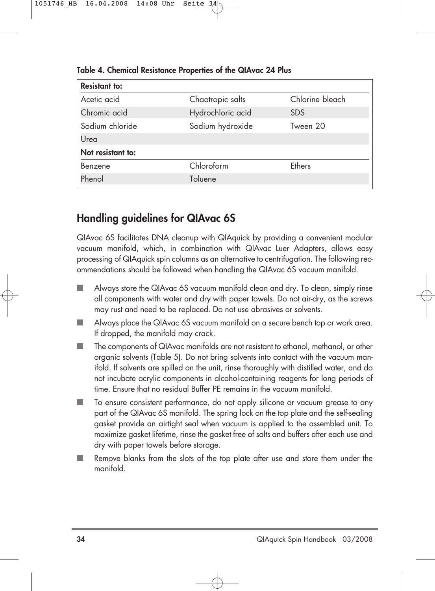| <b>Resistant to:</b> |                   |                 |
|----------------------|-------------------|-----------------|
| Acetic acid          | Chaotropic salts  | Chlorine bleach |
| Chromic acid         | Hydrochloric acid | <b>SDS</b>      |
| Sodium chloride      | Sodium hydroxide  | Tween 20        |
| Urea                 |                   |                 |
| Not resistant to:    |                   |                 |
| Benzene              | Chloroform        | <b>Fthers</b>   |
| Phenol               | Toluene           |                 |

**Table 4. Chemical Resistance Properties of the QIAvac 24 Plus**

### **Handling guidelines for QIAvac 6S**

QIAvac 6S facilitates DNA cleanup with QIAquick by providing a convenient modular vacuum manifold, which, in combination with QIAvac Luer Adapters, allows easy processing of QIAquick spin columns as an alternative to centrifugation. The following recommendations should be followed when handling the QIAvac 6S vacuum manifold.

- Always store the QIAvac 6S vacuum manifold clean and dry. To clean, simply rinse all components with water and dry with paper towels. Do not air-dry, as the screws may rust and need to be replaced. Do not use abrasives or solvents.
- Always place the QIAvac 6S vacuum manifold on a secure bench top or work area. If dropped, the manifold may crack.
- The components of QIAvac manifolds are not resistant to ethanol, methanol, or other organic solvents (Table 5). Do not bring solvents into contact with the vacuum manifold. If solvents are spilled on the unit, rinse thoroughly with distilled water, and do not incubate acrylic components in alcohol-containing reagents for long periods of time. Ensure that no residual Buffer PE remains in the vacuum manifold.
- To ensure consistent performance, do not apply silicone or vacuum grease to any part of the QIAvac 6S manifold. The spring lock on the top plate and the self-sealing gasket provide an airtight seal when vacuum is applied to the assembled unit. To maximize gasket lifetime, rinse the gasket free of salts and buffers after each use and dry with paper towels before storage.
- Remove blanks from the slots of the top plate after use and store them under the manifold.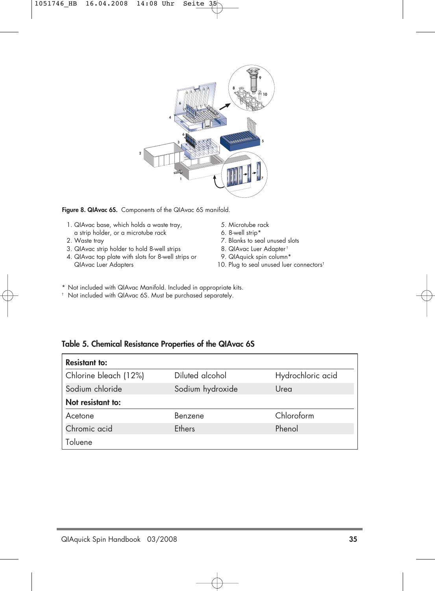

Figure 8. QIAvac 6S. Components of the QIAvac 6S manifold.

- 1. QIAvac base, which holds a waste tray, a strip holder, or a microtube rack
- 2. Waste tray
- 3. QIAvac strip holder to hold 8-well strips
- 4. QIAvac top plate with slots for 8-well strips or QIAvac Luer Adapters
- 5. Microtube rack
- 6. 8-well strip\*
- 7. Blanks to seal unused slots
- 8. QIAvac Luer Adapter †
- 9. QIAquick spin column\*
- 10. Plug to seal unused luer connectors<sup>t</sup>
- \* Not included with QIAvac Manifold. Included in appropriate kits.
- † Not included with QIAvac 6S. Must be purchased separately.

#### **Table 5. Chemical Resistance Properties of the QIAvac 6S**

| <b>Resistant to:</b>  |                  |                   |
|-----------------------|------------------|-------------------|
| Chlorine bleach (12%) | Diluted alcohol  | Hydrochloric acid |
| Sodium chloride       | Sodium hydroxide | Urea              |
| Not resistant to:     |                  |                   |
| Acetone               | Benzene          | Chloroform        |
| Chromic acid          | <b>Fthers</b>    | Phenol            |
| Toluene               |                  |                   |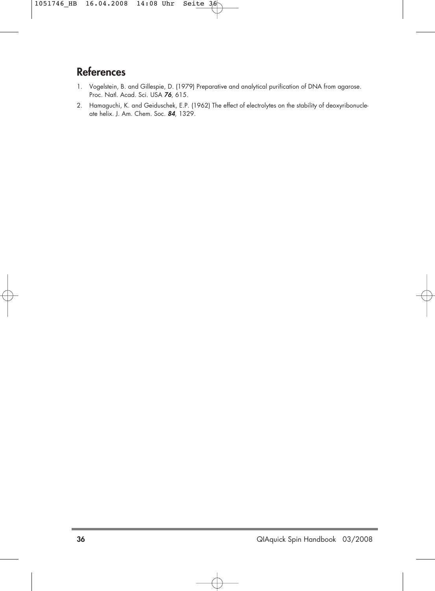### **References**

- 1. Vogelstein, B. and Gillespie, D. (1979) Preparative and analytical purification of DNA from agarose. Proc. Natl. Acad. Sci. USA **76**, 615.
- 2. Hamaguchi, K. and Geiduschek, E.P. (1962) The effect of electrolytes on the stability of deoxyribonucleate helix. J. Am. Chem. Soc. **84**, 1329.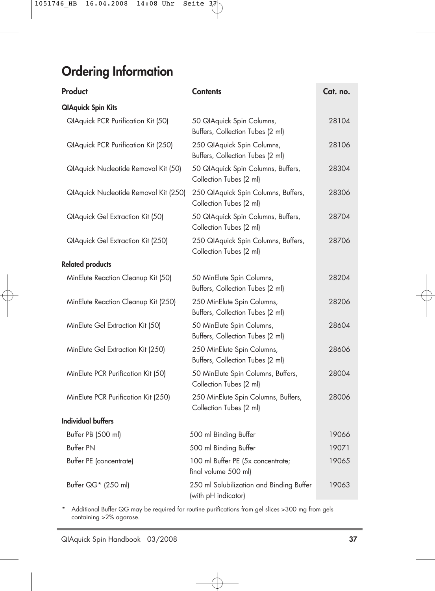# **Ordering Information**

| Product                                   | <b>Contents</b>                                                 | Cat. no. |
|-------------------------------------------|-----------------------------------------------------------------|----------|
| <b>QlAquick Spin Kits</b>                 |                                                                 |          |
| <b>QIAquick PCR Purification Kit (50)</b> | 50 QIAquick Spin Columns,<br>Buffers, Collection Tubes (2 ml)   | 28104    |
| QIAquick PCR Purification Kit (250)       | 250 QIAquick Spin Columns,<br>Buffers, Collection Tubes (2 ml)  | 28106    |
| QIAquick Nucleotide Removal Kit (50)      | 50 QIAquick Spin Columns, Buffers,<br>Collection Tubes (2 ml)   | 28304    |
| QIAquick Nucleotide Removal Kit (250)     | 250 QIAquick Spin Columns, Buffers,<br>Collection Tubes (2 ml)  | 28306    |
| QIAquick Gel Extraction Kit (50)          | 50 QIAquick Spin Columns, Buffers,<br>Collection Tubes (2 ml)   | 28704    |
| QIAquick Gel Extraction Kit (250)         | 250 QIAquick Spin Columns, Buffers,<br>Collection Tubes (2 ml)  | 28706    |
| <b>Related products</b>                   |                                                                 |          |
| MinElute Reaction Cleanup Kit (50)        | 50 MinElute Spin Columns,<br>Buffers, Collection Tubes (2 ml)   | 28204    |
| MinElute Reaction Cleanup Kit (250)       | 250 MinElute Spin Columns,<br>Buffers, Collection Tubes (2 ml)  | 28206    |
| MinElute Gel Extraction Kit (50)          | 50 MinElute Spin Columns,<br>Buffers, Collection Tubes (2 ml)   | 28604    |
| MinElute Gel Extraction Kit (250)         | 250 MinElute Spin Columns,<br>Buffers, Collection Tubes (2 ml)  | 28606    |
| MinElute PCR Purification Kit (50)        | 50 MinElute Spin Columns, Buffers,<br>Collection Tubes (2 ml)   | 28004    |
| MinElute PCR Purification Kit (250)       | 250 MinElute Spin Columns, Buffers,<br>Collection Tubes (2 ml)  | 28006    |
| <b>Individual buffers</b>                 |                                                                 |          |
| Buffer PB (500 ml)                        | 500 ml Binding Buffer                                           | 19066    |
| <b>Buffer PN</b>                          | 500 ml Binding Buffer                                           | 19071    |
| Buffer PE (concentrate)                   | 100 ml Buffer PE (5x concentrate;<br>final volume 500 ml)       | 19065    |
| Buffer QG* (250 ml)                       | 250 ml Solubilization and Binding Buffer<br>(with pH indicator) | 19063    |

\* Additional Buffer QG may be required for routine purifications from gel slices >300 mg from gels containing >2% agarose.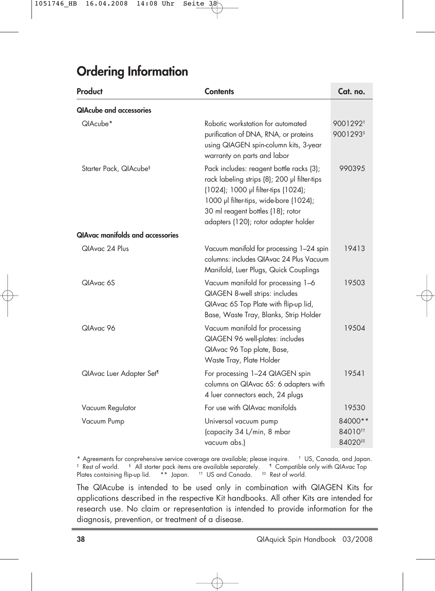# **Ordering Information**

| Product                                 | <b>Contents</b>                                                                                                                                                                                                                                        | Cat. no.                                 |
|-----------------------------------------|--------------------------------------------------------------------------------------------------------------------------------------------------------------------------------------------------------------------------------------------------------|------------------------------------------|
| <b>QIAcube and accessories</b>          |                                                                                                                                                                                                                                                        |                                          |
| QlAcube*                                | Robotic workstation for automated<br>purification of DNA, RNA, or proteins<br>using QIAGEN spin-column kits, 3-year<br>warranty on parts and labor                                                                                                     | 9001292 <sup>t</sup><br>9001293#         |
| Starter Pack, QIAcube <sup>§</sup>      | Pack includes: reagent bottle racks (3);<br>rack labeling strips (8); 200 µl filter-tips<br>(1024); 1000 µl filter-tips (1024);<br>1000 µl filter-tips, wide-bore (1024);<br>30 ml reagent bottles (18); rotor<br>adapters (120); rotor adapter holder | 990395                                   |
| <b>QIAvac manifolds and accessories</b> |                                                                                                                                                                                                                                                        |                                          |
| QIAvac 24 Plus                          | Vacuum manifold for processing 1-24 spin<br>columns: includes QIAvac 24 Plus Vacuum<br>Manifold, Luer Plugs, Quick Couplings                                                                                                                           | 19413                                    |
| QIAvac 6S                               | Vacuum manifold for processing 1-6<br>QIAGEN 8-well strips: includes<br>QIAvac 6S Top Plate with flip-up lid,<br>Base, Waste Tray, Blanks, Strip Holder                                                                                                | 19503                                    |
| QIAvac 96                               | Vacuum manifold for processing<br>QIAGEN 96 well-plates: includes<br>QIAvac 96 Top plate, Base,<br>Waste Tray, Plate Holder                                                                                                                            | 19504                                    |
| QIAvac Luer Adapter Set <sup>¶</sup>    | For processing 1-24 QIAGEN spin<br>columns on QIAvac 6S: 6 adapters with<br>4 luer connectors each, 24 plugs                                                                                                                                           | 19541                                    |
| Vacuum Regulator                        | For use with QIAvac manifolds                                                                                                                                                                                                                          | 19530                                    |
| Vacuum Pump                             | Universal vacuum pump<br>(capacity 34 L/min, 8 mbar<br>vacuum abs.)                                                                                                                                                                                    | 84000**<br>84010 <sup>tt</sup><br>84020# |

\* Agreements for conprehensive service coverage are available; please inquire. † US, Canada, and Japan. <sup>‡</sup> Rest of world. <sup>§</sup> All starter pack items are available separately. <sup>1</sup> Compatible only with QIAvac Top Plates containing flip-up lid. \*\* Japan. <sup>#</sup> US and Canada. <sup>#</sup> Rest of world.

The QIAcube is intended to be used only in combination with QIAGEN Kits for applications described in the respective Kit handbooks. All other Kits are intended for research use. No claim or representation is intended to provide information for the diagnosis, prevention, or treatment of a disease.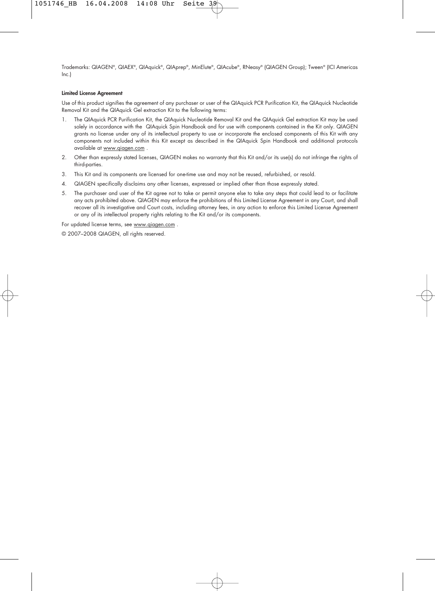Trademarks: QIAGEN®, QIAEX®, QIAquick®, QIAprep®, MinElute®, QIAcube®, RNeasy® (QIAGEN Group); Tween® (ICI Americas Inc.)

#### **Limited License Agreement**

Use of this product signifies the agreement of any purchaser or user of the QIAquick PCR Purification Kit, the QIAquick Nucleotide Removal Kit and the QIAquick Gel extraction Kit to the following terms:

- 1. The QIAquick PCR Purification Kit, the QIAquick Nucleotide Removal Kit and the QIAquick Gel extraction Kit may be used solely in accordance with the QIAquick Spin Handbook and for use with components contained in the Kit only. QIAGEN grants no license under any of its intellectual property to use or incorporate the enclosed components of this Kit with any components not included within this Kit except as described in the QIAquick Spin Handbook and additional protocols available at www.qiagen.com .
- 2. Other than expressly stated licenses, QIAGEN makes no warranty that this Kit and/or its use(s) do not infringe the rights of third-parties.
- 3. This Kit and its components are licensed for one-time use and may not be reused, refurbished, or resold.
- 4. QIAGEN specifically disclaims any other licenses, expressed or implied other than those expressly stated.
- 5. The purchaser and user of the Kit agree not to take or permit anyone else to take any steps that could lead to or facilitate any acts prohibited above. QIAGEN may enforce the prohibitions of this Limited License Agreement in any Court, and shall recover all its investigative and Court costs, including attorney fees, in any action to enforce this Limited License Agreement or any of its intellectual property rights relating to the Kit and/or its components.

For updated license terms, see www.qiagen.com .

© 2007–2008 QIAGEN, all rights reserved.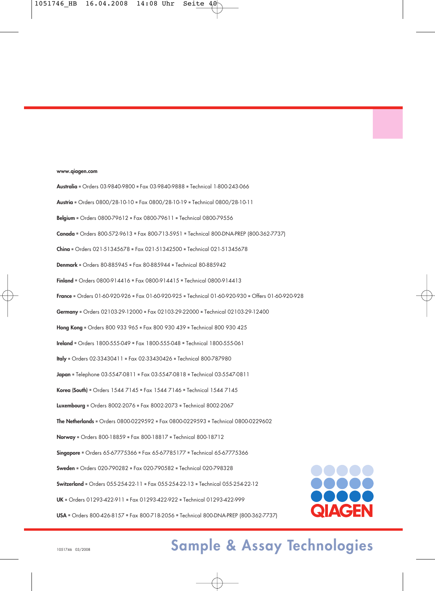#### **www.qiagen.com**

**Australia** ■ Orders 03-9840-9800 ■ Fax 03-9840-9888 ■ Technical 1-800-243-066 **Austria** ■ Orders 0800/28-10-10 ■ Fax 0800/28-10-19 ■ Technical 0800/28-10-11 **Belgium** ■ Orders 0800-79612 ■ Fax 0800-79611 ■ Technical 0800-79556 **Canada** ■ Orders 800-572-9613 ■ Fax 800-713-5951 ■ Technical 800-DNA-PREP (800-362-7737) **China** ■ Orders 021-51345678 ■ Fax 021-51342500 ■ Technical 021-51345678 **Denmark** ■ Orders 80-885945 ■ Fax 80-885944 ■ Technical 80-885942 **Finland** ■ Orders 0800-914416 ■ Fax 0800-914415 ■ Technical 0800-914413 **France** ■ Orders 01-60-920-926 ■ Fax 01-60-920-925 ■ Technical 01-60-920-930 ■ Offers 01-60-920-928 **Germany** ■ Orders 02103-29-12000 ■ Fax 02103-29-22000 ■ Technical 02103-29-12400 **Hong Kong** ■ Orders 800 933 965 ■ Fax 800 930 439 ■ Technical 800 930 425 **Ireland** ■ Orders 1800-555-049 ■ Fax 1800-555-048 ■ Technical 1800-555-061 **Italy** ■ Orders 02-33430411 ■ Fax 02-33430426 ■ Technical 800-787980 **Japan** ■ Telephone 03-5547-0811 ■ Fax 03-5547-0818 ■ Technical 03-5547-0811 **Korea (South)** ■ Orders 1544 7145 ■ Fax 1544 7146 ■ Technical 1544 7145 **Luxembourg** ■ Orders 8002-2076 ■ Fax 8002-2073 ■ Technical 8002-2067 **The Netherlands** ■ Orders 0800-0229592 ■ Fax 0800-0229593 ■ Technical 0800-0229602 **Norway** ■ Orders 800-18859 ■ Fax 800-18817 ■ Technical 800-18712 **Singapore** ■ Orders 65-67775366 ■ Fax 65-67785177 ■ Technical 65-67775366 **Sweden** ■ Orders 020-790282 ■ Fax 020-790582 ■ Technical 020-798328 **Switzerland** ■ Orders 055-254-22-11 ■ Fax 055-254-22-13 ■ Technical 055-254-22-12 **UK** ■ Orders 01293-422-911 ■ Fax 01293-422-922 ■ Technical 01293-422-999 **USA** ■ Orders 800-426-8157 ■ Fax 800-718-2056 ■ Technical 800-DNA-PREP (800-362-7737)

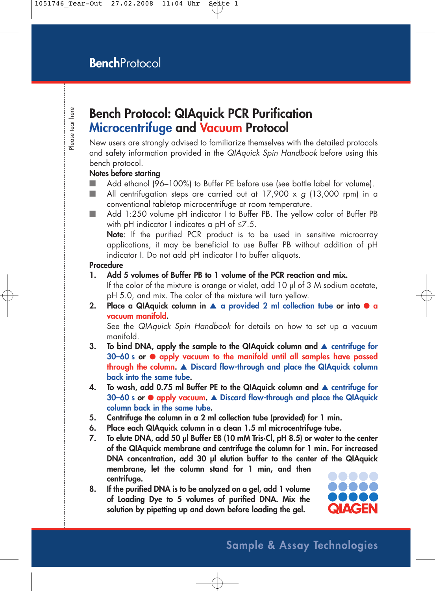### **Bench Protocol: QIAquick PCR Purification Microcentrifuge and Vacuum Protocol**

New users are strongly advised to familiarize themselves with the detailed protocols and safety information provided in the QIAquick Spin Handbook before using this bench protocol.

### **Notes before starting**

- Add ethanol (96–100%) to Buffer PE before use (see bottle label for volume).
- **All centrifugation steps are carried out at 17,900 x g (13,000 rpm) in a** conventional tabletop microcentrifuge at room temperature.
- Add 1:250 volume pH indicator I to Buffer PB. The yellow color of Buffer PB with pH indicator I indicates a pH ot  $\leq 7.5.$

**Note**: If the purified PCR product is to be used in sensitive microarray applications, it may be beneficial to use Buffer PB without addition of pH indicator I. Do not add pH indicator I to buffer aliquots.

#### **Procedure**

**1. Add 5 volumes of Buffer PB to 1 volume of the PCR reaction and mix.** 

If the color of the mixture is orange or violet, add 10 µl of 3 M sodium acetate, pH 5.0, and mix. The color of the mixture will turn yellow.

**2. Place a QIAquick column in** ▲ **a provided 2 ml collection tube or into** ● **a vacuum manifold.**

See the QIAquick Spin Handbook for details on how to set up a vacuum manifold.

- **3. To bind DNA, apply the sample to the QIAquick column and** ▲ **centrifuge for 30–60 s or** ● **apply vacuum to the manifold until all samples have passed through the column.** ▲ **Discard flow-through and place the QIAquick column back into the same tube.**
- **4.** To wash, add 0.75 ml Buffer PE to the QIAquick column and ▲ centrifuge for **30–60 s or** ● **apply vacuum.** ▲ **Discard flow-through and place the QIAquick column back in the same tube.**
- **5. Centrifuge the column in a 2 ml collection tube (provided) for 1 min.**
- **6. Place each QIAquick column in a clean 1.5 ml microcentrifuge tube.**
- **7. To elute DNA, add 50 µl Buffer EB (10 mM Tris·Cl, pH 8.5) or water to the center of the QIAquick membrane and centrifuge the column for 1 min. For increased DNA concentration, add 30 µl elution buffer to the center of the QIAquick membrane, let the column stand for 1 min, and then centrifuge.**
- **8. If the purified DNA is to be analyzed on a gel, add 1 volume of Loading Dye to 5 volumes of purified DNA. Mix the solution by pipetting up and down before loading the gel.**

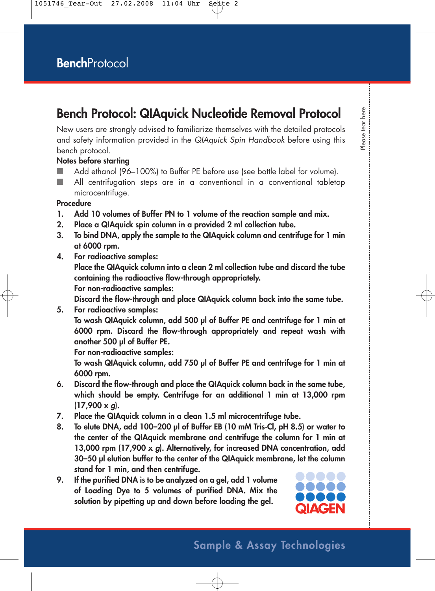## **Bench Protocol: QIAquick Nucleotide Removal Protocol**

New users are strongly advised to familiarize themselves with the detailed protocols and safety information provided in the QIAquick Spin Handbook before using this bench protocol.

### **Notes before starting**

- Add ethanol (96–100%) to Buffer PE before use (see bottle label for volume).
- All centrifugation steps are in a conventional in a conventional tabletop microcentrifuge.

### **Procedure**

- **1. Add 10 volumes of Buffer PN to 1 volume of the reaction sample and mix.**
- **2. Place a QIAquick spin column in a provided 2 ml collection tube.**
- **3. To bind DNA, apply the sample to the QIAquick column and centrifuge for 1 min at 6000 rpm.**
- **4. For radioactive samples:**

**Place the QIAquick column into a clean 2 ml collection tube and discard the tube containing the radioactive flow-through appropriately.**

**For non-radioactive samples:**

**Discard the flow-through and place QIAquick column back into the same tube.**

**5. For radioactive samples: To wash QIAquick column, add 500 µl of Buffer PE and centrifuge for 1 min at 6000 rpm. Discard the flow-through appropriately and repeat wash with another 500 µl of Buffer PE.** 

**For non-radioactive samples:** 

**To wash QIAquick column, add 750 µl of Buffer PE and centrifuge for 1 min at 6000 rpm.**

- **6. Discard the flow-through and place the QIAquick column back in the same tube, which should be empty. Centrifuge for an additional 1 min at 13,000 rpm (17,900 x g).**
- **7. Place the QIAquick column in a clean 1.5 ml microcentrifuge tube.**
- **8. To elute DNA, add 100–200 µl of Buffer EB (10 mM Tris·Cl, pH 8.5) or water to the center of the QIAquick membrane and centrifuge the column for 1 min at 13,000 rpm (17,900 x g). Alternatively, for increased DNA concentration, add 30–50 µl elution buffer to the center of the QIAquick membrane, let the column stand for 1 min, and then centrifuge.**
- **9. If the purified DNA is to be analyzed on a gel, add 1 volume of Loading Dye to 5 volumes of purified DNA. Mix the solution by pipetting up and down before loading the gel.**



# lease tear here Please tear here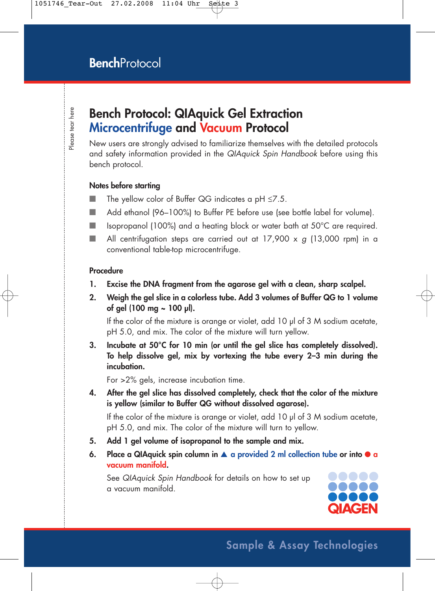## **Bench Protocol: QIAquick Gel Extraction Microcentrifuge and Vacuum Protocol**

New users are strongly advised to familiarize themselves with the detailed protocols and safety information provided in the QIAquick Spin Handbook before using this bench protocol.

### **Notes before starting**

- $\blacksquare$  The yellow color of Buffer QG indicates a pH  $\leq$ 7.5.
- Add ethanol (96–100%) to Buffer PE before use (see bottle label for volume).
- Isopropanol (100%) and a heating block or water bath at 50°C are required.
- **All centrifugation steps are carried out at 17,900 x g (13,000 rpm) in a** conventional table-top microcentrifuge.

#### **Procedure**

- **1. Excise the DNA fragment from the agarose gel with a clean, sharp scalpel.**
- **2. Weigh the gel slice in a colorless tube. Add 3 volumes of Buffer QG to 1 volume of gel (100 mg ~ 100 µl).**

If the color of the mixture is orange or violet, add 10  $\mu$  of 3 M sodium acetate, pH 5.0, and mix. The color of the mixture will turn yellow.

**3. Incubate at 50°C for 10 min (or until the gel slice has completely dissolved). To help dissolve gel, mix by vortexing the tube every 2–3 min during the incubation.**

For >2% gels, increase incubation time.

**4. After the gel slice has dissolved completely, check that the color of the mixture is yellow (similar to Buffer QG without dissolved agarose).**

If the color of the mixture is orange or violet, add 10 µl of 3 M sodium acetate, pH 5.0, and mix. The color of the mixture will turn to yellow.

- **5. Add 1 gel volume of isopropanol to the sample and mix.**
- **6. Place a QIAquick spin column in** ▲ **a provided 2 ml collection tube or into a vacuum manifold.**

See QIAquick Spin Handbook for details on how to set up a vacuum manifold.